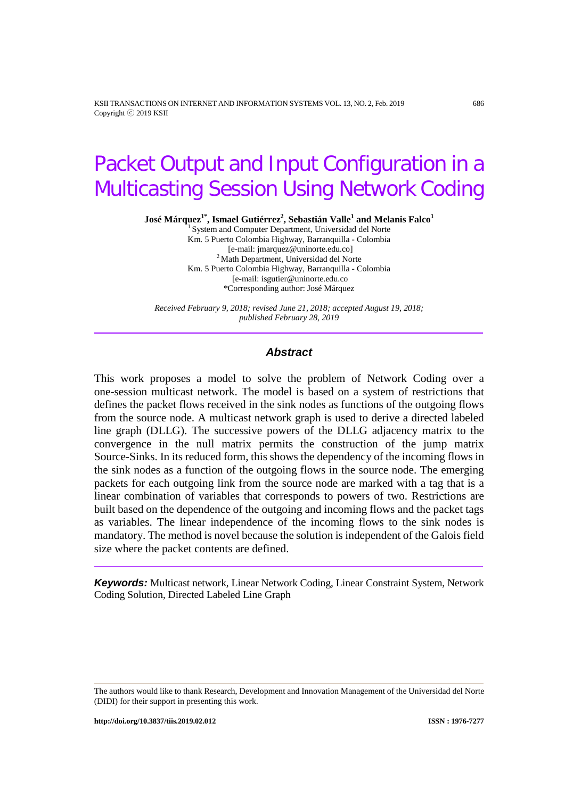KSII TRANSACTIONS ON INTERNET AND INFORMATION SYSTEMS VOL. 13, NO. 2, Feb. 2019 686 Copyright ⓒ 2019 KSII

# Packet Output and Input Configuration in a Multicasting Session Using Network Coding

**José Márquez1\* , Ismael Gutiérrez<sup>2</sup> , Sebastián Valle<sup>1</sup> and Melanis Falco<sup>1</sup>**

<sup>1</sup> System and Computer Department, Universidad del Norte Km. 5 Puerto Colombia Highway, Barranquilla - Colombia  $2$  Math Department, Universidad del Norte Km. 5 Puerto Colombia Highway, Barranquilla - Colombia [e-mail: isgutier@uninorte.edu.co \*Corresponding author: José Márquez

*Received February 9, 2018; revised June 21, 2018; accepted August 19, 2018; published February 28, 2019*

## *Abstract*

This work proposes a model to solve the problem of Network Coding over a one-session multicast network. The model is based on a system of restrictions that defines the packet flows received in the sink nodes as functions of the outgoing flows from the source node. A multicast network graph is used to derive a directed labeled line graph (DLLG). The successive powers of the DLLG adjacency matrix to the convergence in the null matrix permits the construction of the jump matrix Source-Sinks. In its reduced form, this shows the dependency of the incoming flows in the sink nodes as a function of the outgoing flows in the source node. The emerging packets for each outgoing link from the source node are marked with a tag that is a linear combination of variables that corresponds to powers of two. Restrictions are built based on the dependence of the outgoing and incoming flows and the packet tags as variables. The linear independence of the incoming flows to the sink nodes is mandatory. The method is novel because the solution is independent of the Galois field size where the packet contents are defined.

*Keywords:* Multicast network, Linear Network Coding, Linear Constraint System, Network Coding Solution, Directed Labeled Line Graph

The authors would like to thank Research, Development and Innovation Management of the Universidad del Norte (DIDI) for their support in presenting this work.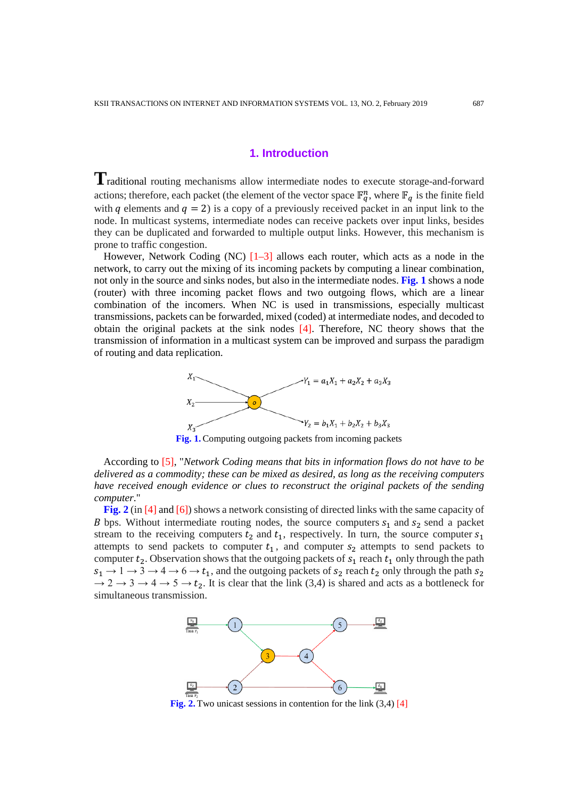# **1. Introduction**

**T**raditional routing mechanisms allow intermediate nodes to execute storage-and-forward actions; therefore, each packet (the element of the vector space  $\mathbb{F}_q^n$ , where  $\mathbb{F}_q$  is the finite field with q elements and  $q = 2$ ) is a copy of a previously received packet in an input link to the node. In multicast systems, intermediate nodes can receive packets over input links, besides they can be duplicated and forwarded to multiple output links. However, this mechanism is prone to traffic congestion.

However, Network Coding (NC)  $[1-3]$  allows each router, which acts as a node in the network, to carry out the mixing of its incoming packets by computing a linear combination, not only in the source and sinks nodes, but also in the intermediate nodes. **Fig. 1** shows a node (router) with three incoming packet flows and two outgoing flows, which are a linear combination of the incomers. When NC is used in transmissions, especially multicast transmissions, packets can be forwarded, mixed (coded) at intermediate nodes, and decoded to obtain the original packets at the sink nodes [4]. Therefore, NC theory shows that the transmission of information in a multicast system can be improved and surpass the paradigm of routing and data replication.



**Fig. 1.** Computing outgoing packets from incoming packets

According to [5], "*Network Coding means that bits in information flows do not have to be delivered as a commodity; these can be mixed as desired, as long as the receiving computers have received enough evidence or clues to reconstruct the original packets of the sending computer*."

**Fig. 2** (in [4] and [6]) shows a network consisting of directed links with the same capacity of B bps. Without intermediate routing nodes, the source computers  $s_1$  and  $s_2$  send a packet stream to the receiving computers  $t_2$  and  $t_1$ , respectively. In turn, the source computer  $s_1$ attempts to send packets to computer  $t_1$ , and computer  $s_2$  attempts to send packets to computer  $t_2$ . Observation shows that the outgoing packets of  $s_1$  reach  $t_1$  only through the path  $s_1 \rightarrow 1 \rightarrow 3 \rightarrow 4 \rightarrow 6 \rightarrow t_1$ , and the outgoing packets of  $s_2$  reach  $t_2$  only through the path  $s_2$  $\to$  2  $\to$  3  $\to$  4  $\to$  5  $\to$   $t_2$ . It is clear that the link (3,4) is shared and acts as a bottleneck for simultaneous transmission.



**Fig. 2.** Two unicast sessions in contention for the link (3,4) [4]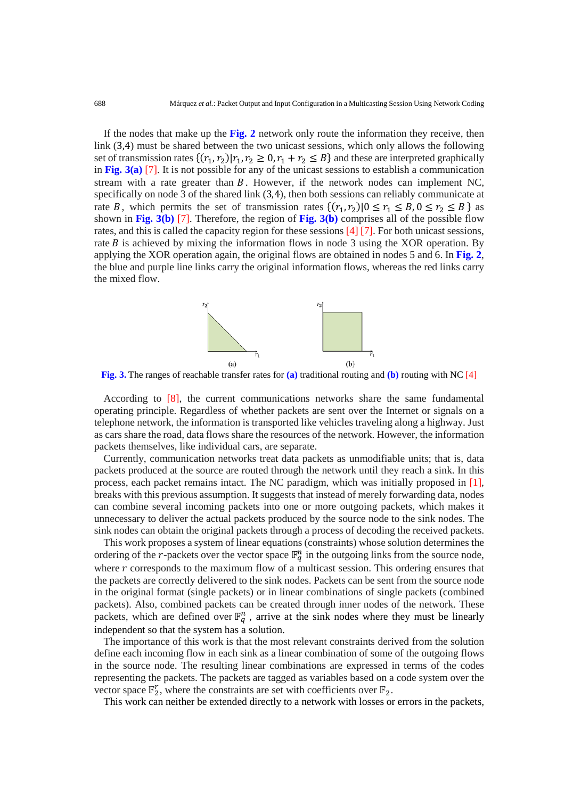If the nodes that make up the **Fig. 2** network only route the information they receive, then link (3,4) must be shared between the two unicast sessions, which only allows the following set of transmission rates  $\{(r_1, r_2)|r_1, r_2 \geq 0, r_1 + r_2 \leq B\}$  and these are interpreted graphically in **Fig. 3(a)** [7]. It is not possible for any of the unicast sessions to establish a communication stream with a rate greater than  $B$ . However, if the network nodes can implement NC, specifically on node 3 of the shared link (3,4), then both sessions can reliably communicate at rate B, which permits the set of transmission rates  $\{(r_1, r_2)|0 \le r_1 \le B, 0 \le r_2 \le B\}$  as shown in **Fig. 3(b)** [7]. Therefore, the region of **Fig. 3(b)** comprises all of the possible flow rates, and this is called the capacity region for these sessions [4] [7]. For both unicast sessions, rate  $B$  is achieved by mixing the information flows in node 3 using the XOR operation. By applying the XOR operation again, the original flows are obtained in nodes 5 and 6. In **Fig. 2**, the blue and purple line links carry the original information flows, whereas the red links carry the mixed flow.



**Fig. 3.** The ranges of reachable transfer rates for **(a)** traditional routing and **(b)** routing with NC [4]

According to [8], the current communications networks share the same fundamental operating principle. Regardless of whether packets are sent over the Internet or signals on a telephone network, the information is transported like vehicles traveling along a highway. Just as cars share the road, data flows share the resources of the network. However, the information packets themselves, like individual cars, are separate.

Currently, communication networks treat data packets as unmodifiable units; that is, data packets produced at the source are routed through the network until they reach a sink. In this process, each packet remains intact. The NC paradigm, which was initially proposed in [1], breaks with this previous assumption. It suggests that instead of merely forwarding data, nodes can combine several incoming packets into one or more outgoing packets, which makes it unnecessary to deliver the actual packets produced by the source node to the sink nodes. The sink nodes can obtain the original packets through a process of decoding the received packets.

This work proposes a system of linear equations (constraints) whose solution determines the ordering of the *r*-packets over the vector space  $\mathbb{F}_q^n$  in the outgoing links from the source node, where  $r$  corresponds to the maximum flow of a multicast session. This ordering ensures that the packets are correctly delivered to the sink nodes. Packets can be sent from the source node in the original format (single packets) or in linear combinations of single packets (combined packets). Also, combined packets can be created through inner nodes of the network. These packets, which are defined over  $\mathbb{F}_q^n$ , arrive at the sink nodes where they must be linearly independent so that the system has a solution.

The importance of this work is that the most relevant constraints derived from the solution define each incoming flow in each sink as a linear combination of some of the outgoing flows in the source node. The resulting linear combinations are expressed in terms of the codes representing the packets. The packets are tagged as variables based on a code system over the vector space  $\mathbb{F}_2^r$ , where the constraints are set with coefficients over  $\mathbb{F}_2$ .

This work can neither be extended directly to a network with losses or errors in the packets,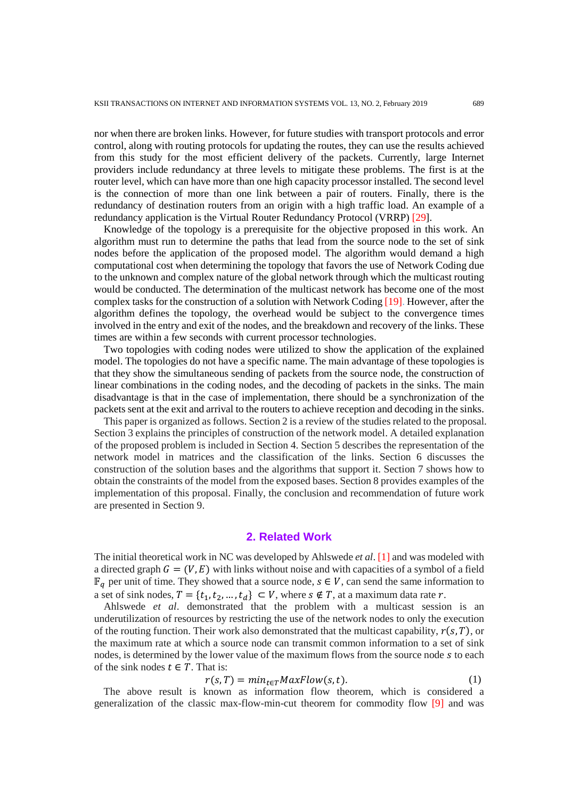nor when there are broken links. However, for future studies with transport protocols and error control, along with routing protocols for updating the routes, they can use the results achieved from this study for the most efficient delivery of the packets. Currently, large Internet providers include redundancy at three levels to mitigate these problems. The first is at the router level, which can have more than one high capacity processor installed. The second level is the connection of more than one link between a pair of routers. Finally, there is the redundancy of destination routers from an origin with a high traffic load. An example of a redundancy application is the Virtual Router Redundancy Protocol (VRRP) [29].

Knowledge of the topology is a prerequisite for the objective proposed in this work. An algorithm must run to determine the paths that lead from the source node to the set of sink nodes before the application of the proposed model. The algorithm would demand a high computational cost when determining the topology that favors the use of Network Coding due to the unknown and complex nature of the global network through which the multicast routing would be conducted. The determination of the multicast network has become one of the most complex tasks for the construction of a solution with Network Coding [19]. However, after the algorithm defines the topology, the overhead would be subject to the convergence times involved in the entry and exit of the nodes, and the breakdown and recovery of the links. These times are within a few seconds with current processor technologies.

Two topologies with coding nodes were utilized to show the application of the explained model. The topologies do not have a specific name. The main advantage of these topologies is that they show the simultaneous sending of packets from the source node, the construction of linear combinations in the coding nodes, and the decoding of packets in the sinks. The main disadvantage is that in the case of implementation, there should be a synchronization of the packets sent at the exit and arrival to the routers to achieve reception and decoding in the sinks.

This paper is organized as follows. Section 2 is a review of the studies related to the proposal. Section 3 explains the principles of construction of the network model. A detailed explanation of the proposed problem is included in Section 4. Section 5 describes the representation of the network model in matrices and the classification of the links. Section 6 discusses the construction of the solution bases and the algorithms that support it. Section 7 shows how to obtain the constraints of the model from the exposed bases. Section 8 provides examples of the implementation of this proposal. Finally, the conclusion and recommendation of future work are presented in Section 9.

# **2. Related Work**

The initial theoretical work in NC was developed by Ahlswede *et al*. [1] and was modeled with a directed graph  $G = (V, E)$  with links without noise and with capacities of a symbol of a field  $\mathbb{F}_q$  per unit of time. They showed that a source node,  $s \in V$ , can send the same information to a set of sink nodes,  $T = \{t_1, t_2, ..., t_d\} \subset V$ , where  $s \notin T$ , at a maximum data rate r.

Ahlswede *et al*. demonstrated that the problem with a multicast session is an underutilization of resources by restricting the use of the network nodes to only the execution of the routing function. Their work also demonstrated that the multicast capability,  $r(s, T)$ , or the maximum rate at which a source node can transmit common information to a set of sink nodes, is determined by the lower value of the maximum flows from the source node  $s$  to each of the sink nodes  $t \in T$ . That is:

$$
r(s,T) = min_{t \in T} MaxFlow(s,t).
$$
 (1)

The above result is known as information flow theorem, which is considered a generalization of the classic max-flow-min-cut theorem for commodity flow [9] and was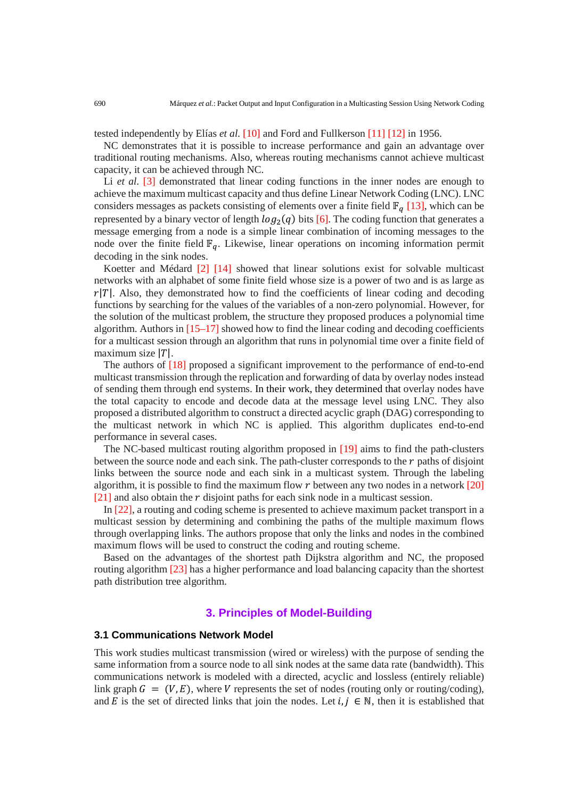tested independently by Elías *et al.* [10] and Ford and Fullkerson [11] [12] in 1956.

NC demonstrates that it is possible to increase performance and gain an advantage over traditional routing mechanisms. Also, whereas routing mechanisms cannot achieve multicast capacity, it can be achieved through NC.

Li *et al.* [3] demonstrated that linear coding functions in the inner nodes are enough to achieve the maximum multicast capacity and thus define Linear Network Coding (LNC). LNC considers messages as packets consisting of elements over a finite field  $\mathbb{F}_q$  [13], which can be represented by a binary vector of length  $log_2(q)$  bits [6]. The coding function that generates a message emerging from a node is a simple linear combination of incoming messages to the node over the finite field  $\mathbb{F}_q$ . Likewise, linear operations on incoming information permit decoding in the sink nodes.

Koetter and Médard [2] [14] showed that linear solutions exist for solvable multicast networks with an alphabet of some finite field whose size is a power of two and is as large as  $r|T|$ . Also, they demonstrated how to find the coefficients of linear coding and decoding functions by searching for the values of the variables of a non-zero polynomial. However, for the solution of the multicast problem, the structure they proposed produces a polynomial time algorithm. Authors in  $[15-17]$  showed how to find the linear coding and decoding coefficients for a multicast session through an algorithm that runs in polynomial time over a finite field of maximum size  $|T|$ .

The authors of [18] proposed a significant improvement to the performance of end-to-end multicast transmission through the replication and forwarding of data by overlay nodes instead of sending them through end systems. In their work, they determined that overlay nodes have the total capacity to encode and decode data at the message level using LNC. They also proposed a distributed algorithm to construct a directed acyclic graph (DAG) corresponding to the multicast network in which NC is applied. This algorithm duplicates end-to-end performance in several cases.

The NC-based multicast routing algorithm proposed in [19] aims to find the path-clusters between the source node and each sink. The path-cluster corresponds to the  $r$  paths of disjoint links between the source node and each sink in a multicast system. Through the labeling algorithm, it is possible to find the maximum flow  $r$  between any two nodes in a network  $[20]$  $[21]$  and also obtain the r disjoint paths for each sink node in a multicast session.

In [22], a routing and coding scheme is presented to achieve maximum packet transport in a multicast session by determining and combining the paths of the multiple maximum flows through overlapping links. The authors propose that only the links and nodes in the combined maximum flows will be used to construct the coding and routing scheme.

Based on the advantages of the shortest path Dijkstra algorithm and NC, the proposed routing algorithm [23] has a higher performance and load balancing capacity than the shortest path distribution tree algorithm.

# **3. Principles of Model-Building**

#### **3.1 Communications Network Model**

This work studies multicast transmission (wired or wireless) with the purpose of sending the same information from a source node to all sink nodes at the same data rate (bandwidth). This communications network is modeled with a directed, acyclic and lossless (entirely reliable) link graph  $G = (V, E)$ , where V represents the set of nodes (routing only or routing/coding), and E is the set of directed links that join the nodes. Let  $i, j \in \mathbb{N}$ , then it is established that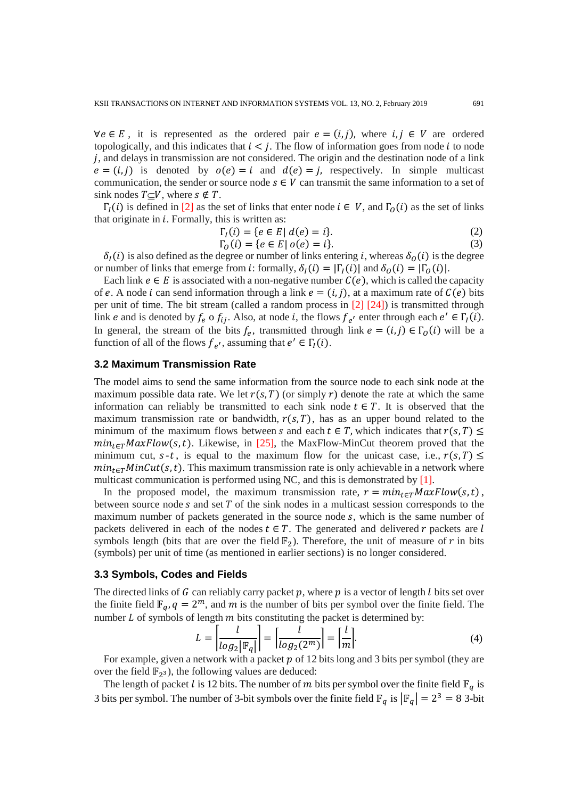$\forall e \in E$ , it is represented as the ordered pair  $e = (i, j)$ , where  $i, j \in V$  are ordered topologically, and this indicates that  $i < j$ . The flow of information goes from node i to node  $j$ , and delays in transmission are not considered. The origin and the destination node of a link  $e = (i, j)$  is denoted by  $o(e) = i$  and  $d(e) = j$ , respectively. In simple multicast communication, the sender or source node  $s \in V$  can transmit the same information to a set of sink nodes  $T\subset V$ , where  $s \notin T$ .

 $\Gamma_l(i)$  is defined in [2] as the set of links that enter node  $i \in V$ , and  $\Gamma_l(i)$  as the set of links that originate in  $i$ . Formally, this is written as:

$$
\Gamma_I(i) = \{ e \in E \mid d(e) = i \}. \tag{2}
$$

$$
\Gamma_0(i) = \{ e \in E \mid o(e) = i \}. \tag{3}
$$

 $\delta_I(i)$  is also defined as the degree or number of links entering *i*, whereas  $\delta_O(i)$  is the degree or number of links that emerge from *i*: formally,  $\delta_I(i) = |\Gamma_I(i)|$  and  $\delta_O(i) = |\Gamma_O(i)|$ .

Each link  $e \in E$  is associated with a non-negative number  $C(e)$ , which is called the capacity of e. A node *i* can send information through a link  $e = (i, j)$ , at a maximum rate of  $C(e)$  bits per unit of time. The bit stream (called a random process in [2] [24]) is transmitted through link *e* and is denoted by  $f_e$  o  $f_{ij}$ . Also, at node *i*, the flows  $f_{e'}$  enter through each  $e' \in \Gamma_I(i)$ . In general, the stream of the bits  $f_e$ , transmitted through link  $e = (i, j) \in \Gamma_0(i)$  will be a function of all of the flows  $f_{e'}$ , assuming that  $e' \in \Gamma_I(i)$ .

#### **3.2 Maximum Transmission Rate**

The model aims to send the same information from the source node to each sink node at the maximum possible data rate. We let  $r(s, T)$  (or simply r) denote the rate at which the same information can reliably be transmitted to each sink node  $t \in T$ . It is observed that the maximum transmission rate or bandwidth,  $r(s, T)$ , has as an upper bound related to the minimum of the maximum flows between s and each  $t \in T$ , which indicates that  $r(s, T) \leq$  $min_{t \in T} MaxFlow(s, t)$ . Likewise, in [25], the MaxFlow-MinCut theorem proved that the minimum cut,  $s-t$ , is equal to the maximum flow for the unicast case, i.e.,  $r(s, T) \leq$  $min_{t \in T} MinCut(s, t)$ . This maximum transmission rate is only achievable in a network where multicast communication is performed using NC, and this is demonstrated by [1].

In the proposed model, the maximum transmission rate,  $r = min_{t \in T} MaxFlow(s, t)$ , between source node  $s$  and set  $T$  of the sink nodes in a multicast session corresponds to the maximum number of packets generated in the source node  $s$ , which is the same number of packets delivered in each of the nodes  $t \in T$ . The generated and delivered r packets are l symbols length (bits that are over the field  $\mathbb{F}_2$ ). Therefore, the unit of measure of r in bits (symbols) per unit of time (as mentioned in earlier sections) is no longer considered.

#### **3.3 Symbols, Codes and Fields**

The directed links of  $G$  can reliably carry packet  $p$ , where  $p$  is a vector of length  $l$  bits set over the finite field  $\mathbb{F}_q$ ,  $q = 2^m$ , and m is the number of bits per symbol over the finite field. The number  $L$  of symbols of length  $m$  bits constituting the packet is determined by:

$$
L = \left| \frac{l}{\log_2 |\mathbb{F}_q|} \right| = \left| \frac{l}{\log_2(2^m)} \right| = \left| \frac{l}{m} \right|.
$$
 (4)

For example, given a network with a packet  $p$  of 12 bits long and 3 bits per symbol (they are over the field  $\mathbb{F}_{2^3}$ , the following values are deduced:

The length of packet *l* is 12 bits. The number of *m* bits per symbol over the finite field  $\mathbb{F}_q$  is 3 bits per symbol. The number of 3-bit symbols over the finite field  $\mathbb{F}_q$  is  $|\mathbb{F}_q| = 2^3 = 8$  3-bit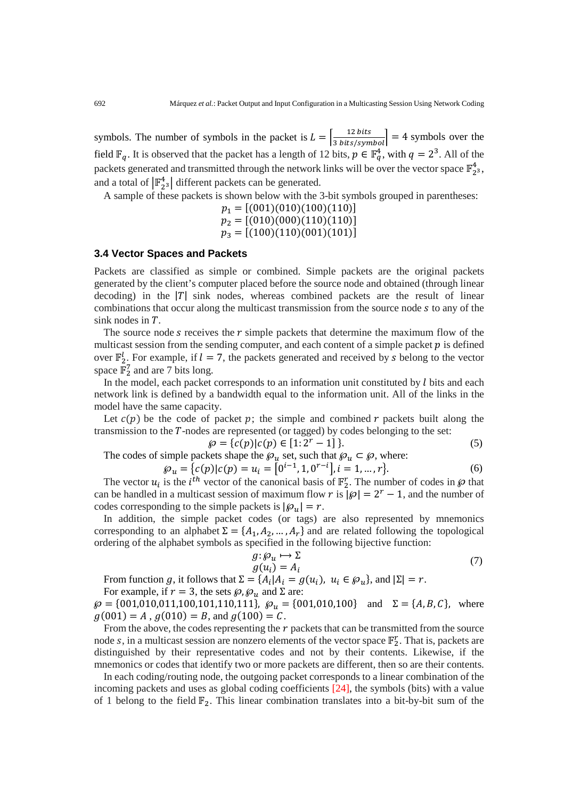symbols. The number of symbols in the packet is  $L = \left| \frac{12 \text{ bits}}{3 \text{ bits/symbol}} \right| = 4$  symbols over the field  $\mathbb{F}_q$ . It is observed that the packet has a length of 12 bits,  $p \in \mathbb{F}_q^4$ , with  $q = 2^3$ . All of the packets generated and transmitted through the network links will be over the vector space  $\mathbb{F}_2^4$ , and a total of  $\left| \mathbb{F}_{2^3}^4 \right|$  different packets can be generated.

A sample of these packets is shown below with the 3-bit symbols grouped in parentheses:

 $p_1 = [(001)(010)(100)(110)]$  $p_2 = [(010)(000)(110)(110)]$  $p_3 = [(100)(110)(001)(101)]$ 

## **3.4 Vector Spaces and Packets**

Packets are classified as simple or combined. Simple packets are the original packets generated by the client's computer placed before the source node and obtained (through linear decoding) in the  $|T|$  sink nodes, whereas combined packets are the result of linear combinations that occur along the multicast transmission from the source node s to any of the sink nodes in  $T$ .

The source node  $s$  receives the  $r$  simple packets that determine the maximum flow of the multicast session from the sending computer, and each content of a simple packet  $p$  is defined over  $\mathbb{F}_2^l$ . For example, if  $l = 7$ , the packets generated and received by s belong to the vector space  $\mathbb{F}_2^7$  and are 7 bits long.

In the model, each packet corresponds to an information unit constituted by  $l$  bits and each network link is defined by a bandwidth equal to the information unit. All of the links in the model have the same capacity.

Let  $c(p)$  be the code of packet p; the simple and combined r packets built along the transmission to the  $T$ -nodes are represented (or tagged) by codes belonging to the set:

$$
\wp = \{c(p) | c(p) \in [1:2^r - 1] \}.
$$
\n(5)

The codes of simple packets shape the  $\mathcal{D}_u$  set, such that  $\mathcal{D}_u \subset \mathcal{D}$ , where:

$$
\wp_u = \{c(p)|c(p) = u_i = [0^{i-1}, 1, 0^{r-1}], i = 1, ..., r\}.
$$
\n(6)

The vector  $u_i$  is the *i*<sup>th</sup> vector of the canonical basis of  $\mathbb{F}_2^r$ . The number of codes in  $\wp$  that can be handled in a multicast session of maximum flow r is  $|\wp| = 2^r - 1$ , and the number of codes corresponding to the simple packets is  $|\wp_{\nu}| = r$ .

In addition, the simple packet codes (or tags) are also represented by mnemonics corresponding to an alphabet  $\Sigma = \{A_1, A_2, ..., A_r\}$  and are related following the topological ordering of the alphabet symbols as specified in the following bijective function:

$$
g: \mathcal{S}_u \mapsto \Sigma
$$
  
 
$$
g(u_i) = A_i
$$
 (7)

From function g, it follows that  $\Sigma = \{A_i | A_i = g(u_i), u_i \in \mathcal{Q}_u\}$ , and  $|\Sigma| = r$ .

For example, if  $r = 3$ , the sets  $\wp$ ,  $\wp_u$  and  $\Sigma$  are:

 $\wp = \{001, 010, 011, 100, 101, 110, 111\}$ ,  $\wp_u = \{001, 010, 100\}$  and  $\Sigma = \{A, B, C\}$ , where  $g(001) = A$ ,  $g(010) = B$ , and  $g(100) = C$ .

From the above, the codes representing the  $r$  packets that can be transmitted from the source node s, in a multicast session are nonzero elements of the vector space  $\mathbb{F}_2^r$ . That is, packets are distinguished by their representative codes and not by their contents. Likewise, if the mnemonics or codes that identify two or more packets are different, then so are their contents.

In each coding/routing node, the outgoing packet corresponds to a linear combination of the incoming packets and uses as global coding coefficients [24], the symbols (bits) with a value of 1 belong to the field  $\mathbb{F}_2$ . This linear combination translates into a bit-by-bit sum of the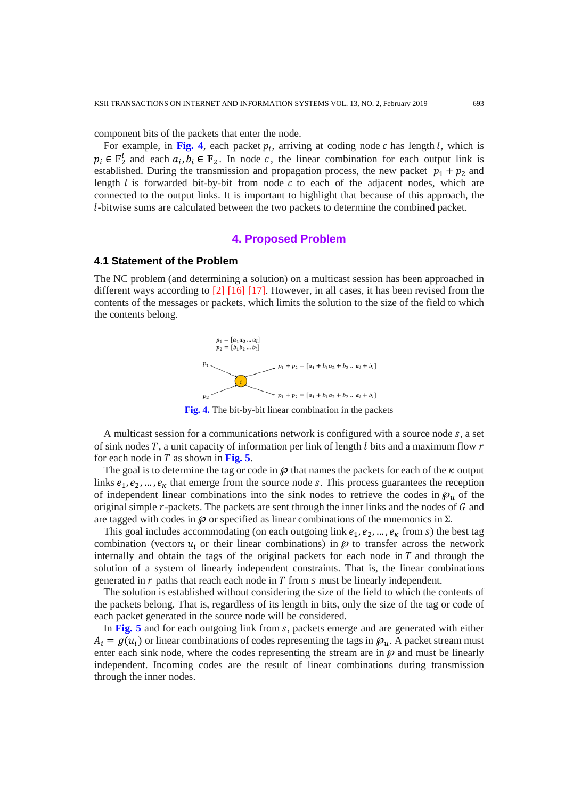component bits of the packets that enter the node.

For example, in Fig. 4, each packet  $p_i$ , arriving at coding node  $c$  has length  $l$ , which is  $p_i \in \mathbb{F}_2^l$  and each  $a_i, b_i \in \mathbb{F}_2$ . In node c, the linear combination for each output link is established. During the transmission and propagation process, the new packet  $p_1 + p_2$  and length  $l$  is forwarded bit-by-bit from node  $c$  to each of the adjacent nodes, which are connected to the output links. It is important to highlight that because of this approach, the -bitwise sums are calculated between the two packets to determine the combined packet.

## **4. Proposed Problem**

#### **4.1 Statement of the Problem**

The NC problem (and determining a solution) on a multicast session has been approached in different ways according to [2] [16] [17]. However, in all cases, it has been revised from the contents of the messages or packets, which limits the solution to the size of the field to which the contents belong.



**Fig. 4.** The bit-by-bit linear combination in the packets

A multicast session for a communications network is configured with a source node  $s$ , a set of sink nodes  $T$ , a unit capacity of information per link of length l bits and a maximum flow  $r$ for each node in  $T$  as shown in Fig. 5.

The goal is to determine the tag or code in  $\wp$  that names the packets for each of the  $\kappa$  output links  $e_1, e_2, \ldots, e_k$  that emerge from the source node s. This process guarantees the reception of independent linear combinations into the sink nodes to retrieve the codes in  $\mathfrak{g}_u$  of the original simple  $r$ -packets. The packets are sent through the inner links and the nodes of  $G$  and are tagged with codes in  $\wp$  or specified as linear combinations of the mnemonics in  $\Sigma$ .

This goal includes accommodating (on each outgoing link  $e_1, e_2, \dots, e_k$  from s) the best tag combination (vectors  $u_i$  or their linear combinations) in  $\wp$  to transfer across the network internally and obtain the tags of the original packets for each node in  $T$  and through the solution of a system of linearly independent constraints. That is, the linear combinations generated in  $r$  paths that reach each node in  $T$  from  $s$  must be linearly independent.

The solution is established without considering the size of the field to which the contents of the packets belong. That is, regardless of its length in bits, only the size of the tag or code of each packet generated in the source node will be considered.

In Fig. 5 and for each outgoing link from s, packets emerge and are generated with either  $A_i = g(u_i)$  or linear combinations of codes representing the tags in  $\mathcal{P}_u$ . A packet stream must enter each sink node, where the codes representing the stream are in  $\wp$  and must be linearly independent. Incoming codes are the result of linear combinations during transmission through the inner nodes.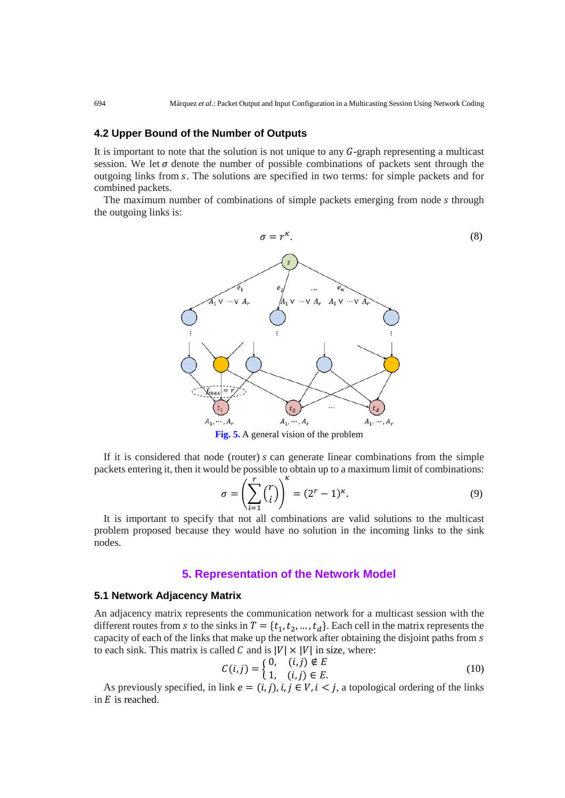## **4.2 Upper Bound of the Number of Outputs**

It is important to note that the solution is not unique to any  $G$ -graph representing a multicast session. We let  $\sigma$  denote the number of possible combinations of packets sent through the outgoing links from . The solutions are specified in two terms: for simple packets and for combined packets.

The maximum number of combinations of simple packets emerging from node s through the outgoing links is:



**Fig. 5.** A general vision of the problem

If it is considered that node (router)  $s$  can generate linear combinations from the simple packets entering it, then it would be possible to obtain up to a maximum limit of combinations:

$$
\sigma = \left(\sum_{i=1}^{r} {r \choose i}\right)^{\kappa} = (2^{r} - 1)^{\kappa}.
$$
\n(9)

It is important to specify that not all combinations are valid solutions to the multicast problem proposed because they would have no solution in the incoming links to the sink nodes.

#### **5. Representation of the Network Model**

#### **5.1 Network Adjacency Matrix**

An adjacency matrix represents the communication network for a multicast session with the different routes from s to the sinks in  $T = \{t_1, t_2, ..., t_d\}$ . Each cell in the matrix represents the capacity of each of the links that make up the network after obtaining the disjoint paths from s to each sink. This matrix is called C and is  $|V| \times |V|$  in size, where:

$$
C(i,j) = \begin{cases} 0, & (i,j) \notin E \\ 1, & (i,j) \in E. \end{cases}
$$
 (10)

As previously specified, in link  $e = (i, j)$ ,  $i, j \in V$ ,  $i < j$ , a topological ordering of the links in  $E$  is reached.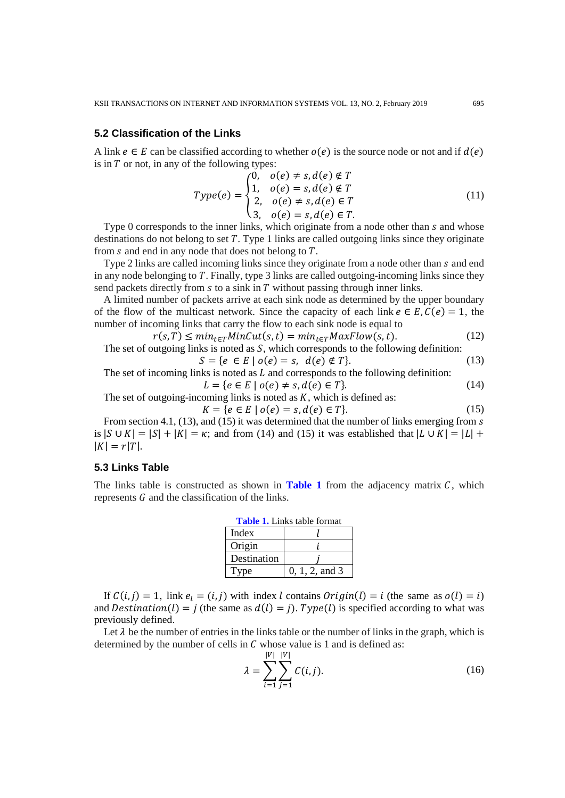## **5.2 Classification of the Links**

A link  $e \in E$  can be classified according to whether  $o(e)$  is the source node or not and if  $d(e)$ is in  $T$  or not, in any of the following types:

$$
Type(e) = \begin{cases} 0, & o(e) \neq s, d(e) \notin T \\ 1, & o(e) = s, d(e) \notin T \\ 2, & o(e) \neq s, d(e) \in T \\ 3, & o(e) = s, d(e) \in T. \end{cases}
$$
(11)

Type 0 corresponds to the inner links, which originate from a node other than s and whose destinations do not belong to set  $T$ . Type 1 links are called outgoing links since they originate from  $s$  and end in any node that does not belong to  $T$ .

Type 2 links are called incoming links since they originate from a node other than  $s$  and end in any node belonging to  $T$ . Finally, type 3 links are called outgoing-incoming links since they send packets directly from  $s$  to a sink in  $T$  without passing through inner links.

A limited number of packets arrive at each sink node as determined by the upper boundary of the flow of the multicast network. Since the capacity of each link  $e \in E$ ,  $C(e) = 1$ , the number of incoming links that carry the flow to each sink node is equal to

 $r(s,T) \leq min_{t \in T} MinCut(s,t) = min_{t \in T} MaxFlow(s,t).$  (12) The set of outgoing links is noted as  $S$ , which corresponds to the following definition:

$$
S = \{e \in E \mid o(e) = s, \ d(e) \notin T\}.
$$
 (13)

The set of incoming links is noted as  $L$  and corresponds to the following definition:

$$
L = \{ e \in E \mid o(e) \neq s, d(e) \in T \}. \tag{14}
$$

The set of outgoing-incoming links is noted as  $K$ , which is defined as:  $K = \{e \in E \mid o(e) = s, d(e) \in T\}.$  (15)

From section 4.1, (13), and (15) it was determined that the number of links emerging from s is  $|S \cup K| = |S| + |K| = \kappa$ ; and from (14) and (15) it was established that  $|L \cup K| = |L| +$  $|K| = r|T|.$ 

## **5.3 Links Table**

The links table is constructed as shown in **Table 1** from the adjacency matrix  $C$ , which represents  $G$  and the classification of the links.

| <b>Table 1.</b> Links table format |                  |  |  |  |  |
|------------------------------------|------------------|--|--|--|--|
| Index                              |                  |  |  |  |  |
| Origin                             |                  |  |  |  |  |
| Destination                        |                  |  |  |  |  |
| Type                               | $0, 1, 2,$ and 3 |  |  |  |  |

If  $C(i, j) = 1$ , link  $e_i = (i, j)$  with index l contains  $Original(i) = i$  (the same as  $o(l) = i$ ) and  $Destination ( l ) = j$  (the same as  $d(l) = j$ ).  $Type ( l )$  is specified according to what was previously defined.

Let  $\lambda$  be the number of entries in the links table or the number of links in the graph, which is determined by the number of cells in  $C$  whose value is 1 and is defined as:

$$
\lambda = \sum_{i=1}^{|V|} \sum_{j=1}^{|V|} C(i,j).
$$
 (16)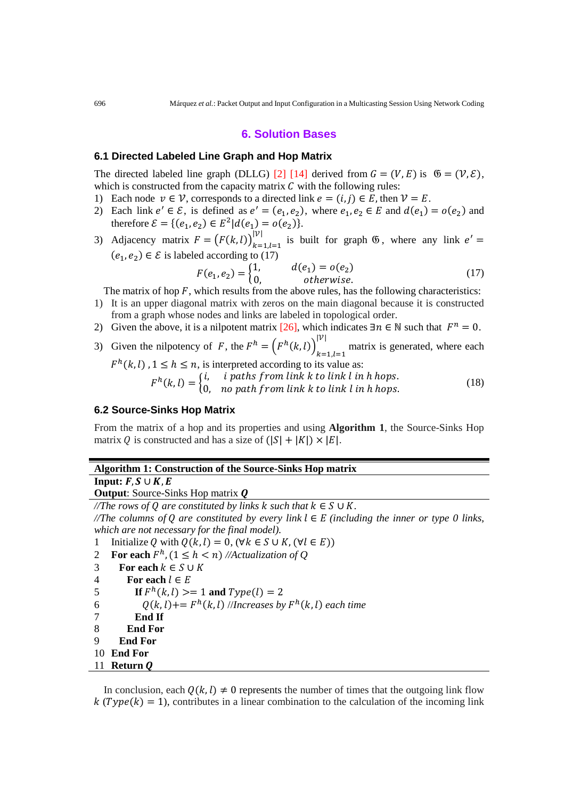## **6. Solution Bases**

#### **6.1 Directed Labeled Line Graph and Hop Matrix**

The directed labeled line graph (DLLG) [2] [14] derived from  $G = (V, E)$  is  $\mathfrak{G} = (\mathcal{V}, \mathcal{E})$ , which is constructed from the capacity matrix  $C$  with the following rules:

- 1) Each node  $v \in V$ , corresponds to a directed link  $e = (i, j) \in E$ , then  $V = E$ .
- 2) Each link  $e' \in \mathcal{E}$ , is defined as  $e' = (e_1, e_2)$ , where  $e_1, e_2 \in E$  and  $d(e_1) = o(e_2)$  and therefore  $\mathcal{E} = \{ (e_1, e_2) \in E^2 | d(e_1) = o(e_2) \}.$
- 3) Adjacency matrix  $F = (F(k, l))_{k=1, l=1}^{|V|}$  is built for graph  $\mathfrak{G}$ , where any link  $e' =$  $(e_1, e_2) \in \mathcal{E}$  is labeled according to (17)

$$
F(e_1, e_2) = \begin{cases} 1, & d(e_1) = o(e_2) \\ 0, & otherwise. \end{cases}
$$
 (17)

The matrix of hop  $F$ , which results from the above rules, has the following characteristics:

- 1) It is an upper diagonal matrix with zeros on the main diagonal because it is constructed from a graph whose nodes and links are labeled in topological order.
- 2) Given the above, it is a nilpotent matrix [26], which indicates  $\exists n \in \mathbb{N}$  such that  $F^n = 0$ .
- 3) Given the nilpotency of F, the  $F^n = (F^n(k, l))_{k=1, l=1}$  $||v||$  matrix is generated, where each

 $h^{n}(k, l)$ ,  $1 \leq h \leq n$ , is interpreted according to its value as:  $h(k, l) = \begin{cases} l, & l \text{ paths from link } k \text{ to link } l \text{ in } h \text{ hops.} \ 0, & n \text{ o path from link } k \text{ to link } l \text{ in } h \text{ hops.} \end{cases}$  (18)

## **6.2 Source-Sinks Hop Matrix**

From the matrix of a hop and its properties and using **Algorithm 1**, the Source-Sinks Hop matrix Q is constructed and has a size of  $(|S| + |K|) \times |E|$ .

## **Algorithm 1: Construction of the Source-Sinks Hop matrix**

**Input:**  $F, S \cup K, E$ 

**Output:** Source-Sinks Hop matrix **Q** 

*/*/*The rows of Q are constituted by links*  $k$  *such that*  $k \in S \cup K$ *. //The columns of are constituted by every link* ∈ *(including the inner or type 0 links, which are not necessary for the final model).*  1 Initialize Q with  $Q(k, l) = 0$ ,  $(\forall k \in S \cup K, (\forall l \in E))$ <br>2 **For each**  $F^h$ ,  $(1 \le h < n)$  //Actualization of Q 2 **For each**  $F^h$ ,  $(1 \le h < n)$  //Actualization of Q<br>3 **For each**  $k \in S \cup K$ 3 For each  $k \in S \cup K$ <br>4 For each  $l \in E$ 

4 **For each**  $l \in E$ <br>5 **If**  $F^h(k, l) >$ 5 **If**  $F^h(k, l) \ge 1$  **and**  $Type(l) = 2$ <br>6  $Q(k, l) + F^h(k, l)$  //Increases by

6  $Q(k, l) += F<sup>h</sup>(k, l)$  //*Increases by*  $F<sup>h</sup>(k, l)$  *each time* 7 **End If** 

7 **End If**

- 8 **End For**
- 9 **End For**
- 10 **End For**

```
11 Return
```
In conclusion, each  $Q(k, l) \neq 0$  represents the number of times that the outgoing link flow  $k(Type(k) = 1)$ , contributes in a linear combination to the calculation of the incoming link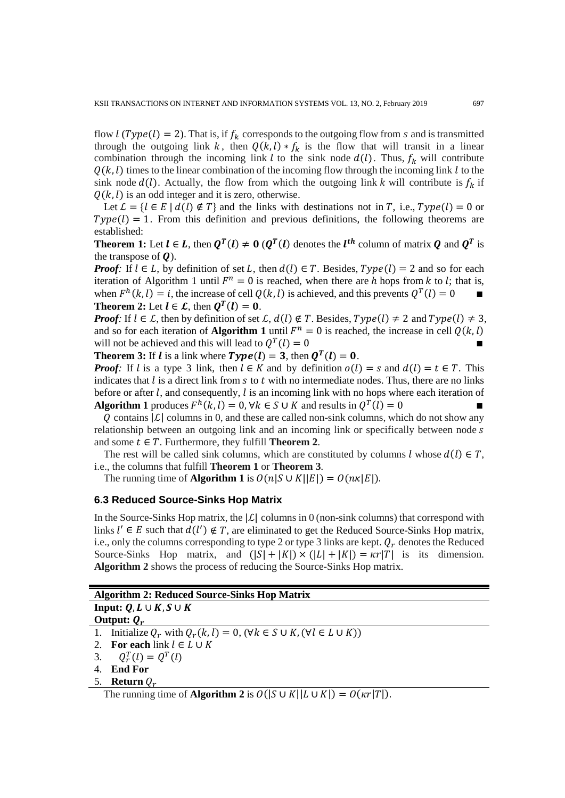flow  $l$  ( $Type(l) = 2$ ). That is, if  $f_k$  corresponds to the outgoing flow from s and is transmitted through the outgoing link k, then  $Q(k, l) * f_k$  is the flow that will transit in a linear combination through the incoming link l to the sink node  $d(l)$ . Thus,  $f_k$  will contribute  $Q(k, l)$  times to the linear combination of the incoming flow through the incoming link l to the sink node  $d(l)$ . Actually, the flow from which the outgoing link k will contribute is  $f_k$  if  $Q(k, l)$  is an odd integer and it is zero, otherwise.

Let  $\mathcal{L} = \{l \in E \mid d(l) \notin T\}$  and the links with destinations not in T, i.e.,  $Type(l) = 0$  or  $Type(l) = 1$ . From this definition and previous definitions, the following theorems are established:

**Theorem 1:** Let  $l \in L$ , then  $Q^{T}(l) \neq 0$  ( $Q^{T}(l)$  denotes the  $l^{tn}$  column of matrix  $Q$  and  $Q^{T}$  is the transpose of  $\boldsymbol{0}$ ).

*Proof:* If  $l \in L$ , by definition of set L, then  $d(l) \in T$ . Besides,  $Type(l) = 2$  and so for each iteration of Algorithm 1 until  $F^n = 0$  is reached, when there are h hops from k to l; that is, when  $F^h(k, l) = i$ , the increase of cell  $Q(k, l)$  is achieved, and this prevents  $Q^T(l) = 0$ **Theorem 2:** Let  $l \in \mathcal{L}$ , then  $Q^T(l) = 0$ .

*Proof*: If  $l \in \mathcal{L}$ , then by definition of set  $\mathcal{L}$ ,  $d(l) \notin T$ . Besides,  $Type(l) \neq 2$  and  $Type(l) \neq 3$ , and so for each iteration of **Algorithm 1** until  $F^n = 0$  is reached, the increase in cell  $Q(k, l)$  will not be achieved and this will lead to  $Q^T(l) = 0$ will not be achieved and this will lead to  $Q^T(l) = 0$ 

**Theorem 3:** If *l* is a link where  $Type(I) = 3$ , then  $Q^{T}(I) = 0$ .

*Proof:* If l is a type 3 link, then  $l \in K$  and by definition  $o(l) = s$  and  $d(l) = t \in T$ . This indicates that  $l$  is a direct link from  $s$  to  $t$  with no intermediate nodes. Thus, there are no links before or after  $l$ , and consequently,  $l$  is an incoming link with no hops where each iteration of **Algorithm 1** produces  $F^h(k, l) = 0$ ,  $\forall k \in S \cup K$  and results in  $Q^T(l) = 0$ 

Q contains  $|\mathcal{L}|$  columns in 0, and these are called non-sink columns, which do not show any relationship between an outgoing link and an incoming link or specifically between node s and some  $t \in T$ . Furthermore, they fulfill **Theorem 2**.

The rest will be called sink columns, which are constituted by columns  $l$  whose  $d(l) \in T$ , i.e., the columns that fulfill **Theorem 1** or **Theorem 3**.

The running time of **Algorithm 1** is  $O(n|S \cup K||E|) = O(nK|E|)$ .

## **6.3 Reduced Source-Sinks Hop Matrix**

In the Source-Sinks Hop matrix, the  $|\mathcal{L}|$  columns in 0 (non-sink columns) that correspond with links  $l' \in E$  such that  $d(l') \notin T$ , are eliminated to get the Reduced Source-Sinks Hop matrix, i.e., only the columns corresponding to type 2 or type 3 links are kept.  $Q_r$  denotes the Reduced Source-Sinks Hop matrix, and  $(|S| + |K|) \times (|L| + |K|) = \kappa r |T|$  is its dimension. **Algorithm 2** shows the process of reducing the Source-Sinks Hop matrix.

| Input: $Q, L \cup K, S \cup K$ |  |
|--------------------------------|--|
|                                |  |

**Output:**  $Q_r$ 

- 1. Initialize  $Q_r$  with  $Q_r(k, l) = 0$ ,  $(\forall k \in S \cup K, (\forall l \in L \cup K))$
- 2. **For each** link  $l \in L \cup K$
- 3.  $Q_{r}^{T}(l) = Q^{T}(l)$
- 4. **End For**
- 5. **Return**  $Q_r$

The running time of **Algorithm 2** is  $O(|S \cup K||L \cup K|) = O(\kappa r|T|).$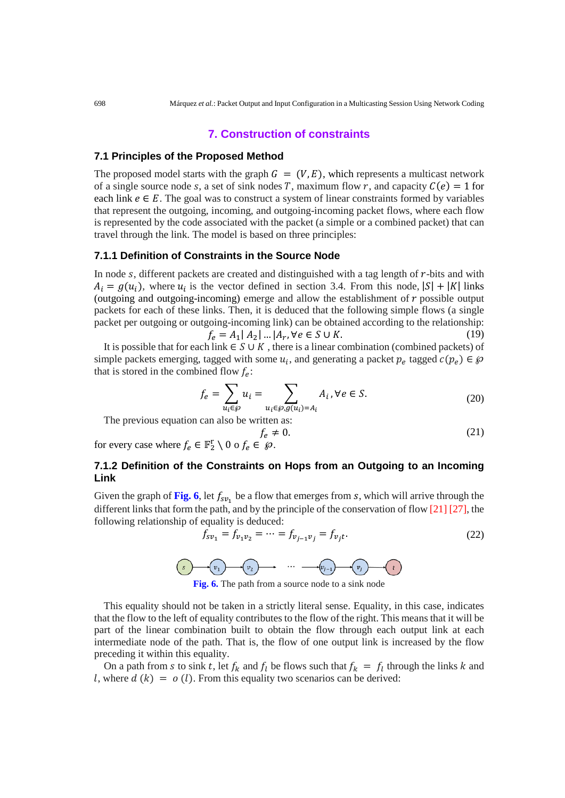# **7. Construction of constraints**

#### **7.1 Principles of the Proposed Method**

The proposed model starts with the graph  $G = (V, E)$ , which represents a multicast network of a single source node s, a set of sink nodes T, maximum flow r, and capacity  $C(e) = 1$  for each link  $e \in E$ . The goal was to construct a system of linear constraints formed by variables that represent the outgoing, incoming, and outgoing-incoming packet flows, where each flow is represented by the code associated with the packet (a simple or a combined packet) that can travel through the link. The model is based on three principles:

## **7.1.1 Definition of Constraints in the Source Node**

In node  $s$ , different packets are created and distinguished with a tag length of  $r$ -bits and with  $A_i = g(u_i)$ , where  $u_i$  is the vector defined in section 3.4. From this node,  $|S| + |K|$  links (outgoing and outgoing-incoming) emerge and allow the establishment of  $r$  possible output packets for each of these links. Then, it is deduced that the following simple flows (a single packet per outgoing or outgoing-incoming link) can be obtained according to the relationship:

$$
f_e = A_1 | A_2 | \dots | A_r, \forall e \in S \cup K.
$$
 (19)

It is possible that for each link  $\in S \cup K$ , there is a linear combination (combined packets) of simple packets emerging, tagged with some  $u_i$ , and generating a packet  $p_e$  tagged  $c(p_e) \in \mathcal{D}$ that is stored in the combined flow  $f_e$ :

$$
f_e = \sum_{u_i \in \mathcal{G}} u_i = \sum_{u_i \in \mathcal{G}, g(u_i) = A_i} A_i, \forall e \in S.
$$
 (20)

The previous equation can also be written as:

$$
f_e \neq 0. \tag{21}
$$

for every case where  $f_e \in \mathbb{F}_2^r \setminus 0$  o  $f_e \in \mathcal{D}$ .

# **7.1.2 Definition of the Constraints on Hops from an Outgoing to an Incoming Link**

Given the graph of Fig. 6, let  $f_{s\nu_1}$  be a flow that emerges from s, which will arrive through the different links that form the path, and by the principle of the conservation of flow [21] [27], the following relationship of equality is deduced:

$$
f_{s\nu_1} = f_{\nu_1\nu_2} = \dots = f_{\nu_{j-1}\nu_j} = f_{\nu_j t}.
$$
\n(22)



**Fig. 6.** The path from a source node to a sink node

This equality should not be taken in a strictly literal sense. Equality, in this case, indicates that the flow to the left of equality contributes to the flow of the right. This means that it will be part of the linear combination built to obtain the flow through each output link at each intermediate node of the path. That is, the flow of one output link is increased by the flow preceding it within this equality.

On a path from *s* to sink *t*, let  $f_k$  and  $f_l$  be flows such that  $f_k = f_l$  through the links k and l, where  $d(k) = o(l)$ . From this equality two scenarios can be derived: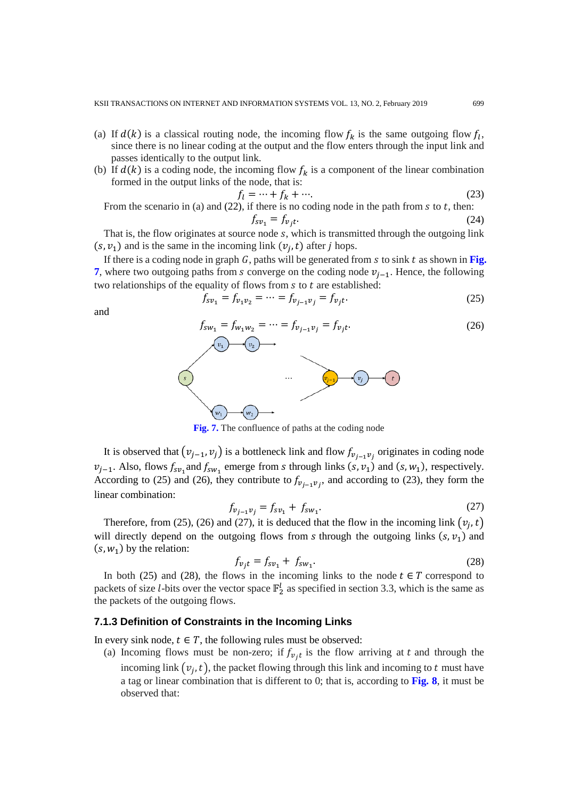- (a) If  $d(k)$  is a classical routing node, the incoming flow  $f_k$  is the same outgoing flow  $f_k$ , since there is no linear coding at the output and the flow enters through the input link and passes identically to the output link.
- (b) If  $d(k)$  is a coding node, the incoming flow  $f_k$  is a component of the linear combination formed in the output links of the node, that is:

$$
f_l = \dots + f_k + \dots \tag{23}
$$

From the scenario in (a) and (22), if there is no coding node in the path from  $s$  to  $t$ , then:

$$
f_{sv_1} = f_{v_j t}.\tag{24}
$$

That is, the flow originates at source node  $s$ , which is transmitted through the outgoing link  $(s, v_1)$  and is the same in the incoming link  $(v_i, t)$  after *j* hops.

If there is a coding node in graph  $G$ , paths will be generated from  $s$  to sink  $t$  as shown in Fig. **7**, where two outgoing paths from *s* converge on the coding node  $v_{i-1}$ . Hence, the following two relationships of the equality of flows from  $s$  to  $t$  are established:

$$
f_{s\nu_1} = f_{\nu_1\nu_2} = \dots = f_{\nu_{j-1}\nu_j} = f_{\nu_j t}.
$$
\n(25)

and

$$
f_{sw_1} = f_{w_1w_2} = \dots = f_{v_{j-1}v_j} = f_{v_jt}.
$$
\n(26)



**Fig. 7.** The confluence of paths at the coding node

It is observed that  $(v_{j-1}, v_j)$  is a bottleneck link and flow  $f_{v_{j-1}v_j}$  originates in coding node  $v_{j-1}$ . Also, flows  $f_{sv_1}$  and  $f_{sw_1}$  emerge from *s* through links  $(s, v_1)$  and  $(s, w_1)$ , respectively. According to (25) and (26), they contribute to  $f_{v_{j-1}v_j}$ , and according to (23), they form the linear combination:

$$
f_{v_{j-1}v_j} = f_{sv_1} + f_{sw_1}.
$$
 (27)

Therefore, from (25), (26) and (27), it is deduced that the flow in the incoming link  $(v_i, t)$ will directly depend on the outgoing flows from s through the outgoing links  $(s, v_1)$  and  $(s, w_1)$  by the relation:

$$
f_{v_j t} = f_{s v_1} + f_{s w_1}.
$$
 (28)

In both (25) and (28), the flows in the incoming links to the node  $t \in T$  correspond to packets of size *l*-bits over the vector space  $\mathbb{F}_2^l$  as specified in section 3.3, which is the same as the packets of the outgoing flows.

## **7.1.3 Definition of Constraints in the Incoming Links**

In every sink node,  $t \in T$ , the following rules must be observed:

(a) Incoming flows must be non-zero; if  $f_{v,t}$  is the flow arriving at t and through the incoming link  $(v_i, t)$ , the packet flowing through this link and incoming to t must have a tag or linear combination that is different to 0; that is, according to **Fig. 8**, it must be observed that: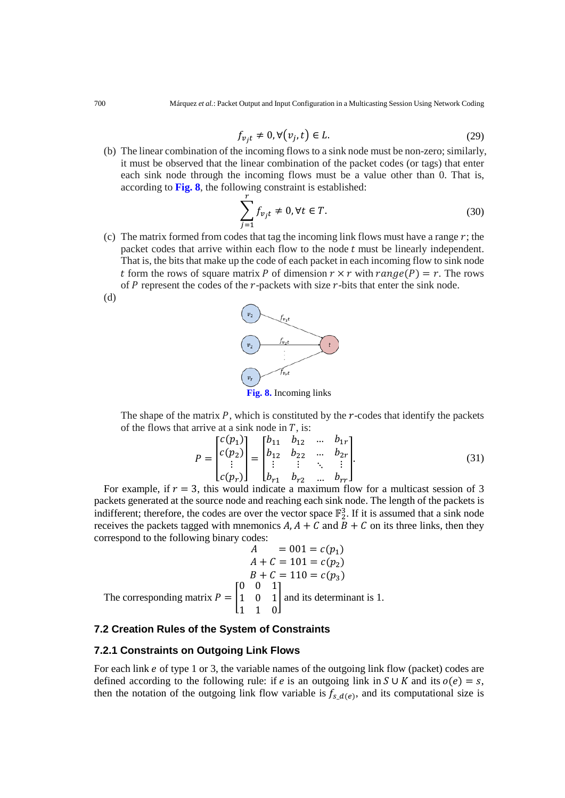$$
f_{v_j t} \neq 0, \forall (v_j, t) \in L. \tag{29}
$$

(b) The linear combination of the incoming flows to a sink node must be non-zero; similarly, it must be observed that the linear combination of the packet codes (or tags) that enter each sink node through the incoming flows must be a value other than 0. That is, according to **Fig. 8**, the following constraint is established:

$$
\sum_{j=1}^{r} f_{v_j t} \neq 0, \forall t \in T.
$$
\n(30)

(c) The matrix formed from codes that tag the incoming link flows must have a range  $r$ ; the packet codes that arrive within each flow to the node  $t$  must be linearly independent. That is, the bits that make up the code of each packet in each incoming flow to sink node t form the rows of square matrix P of dimension  $r \times r$  with  $range(P) = r$ . The rows of  $P$  represent the codes of the  $r$ -packets with size  $r$ -bits that enter the sink node.



The shape of the matrix  $P$ , which is constituted by the  $r$ -codes that identify the packets of the flows that arrive at a sink node in  $T$ , is:

$$
P = \begin{bmatrix} c(p_1) \\ c(p_2) \\ \vdots \\ c(p_r) \end{bmatrix} = \begin{bmatrix} b_{11} & b_{12} & \dots & b_{1r} \\ b_{12} & b_{22} & \dots & b_{2r} \\ \vdots & \vdots & \ddots & \vdots \\ b_{r1} & b_{r2} & \dots & b_{rr} \end{bmatrix}.
$$
 (31)

For example, if  $r = 3$ , this would indicate a maximum flow for a multicast session of 3 packets generated at the source node and reaching each sink node. The length of the packets is indifferent; therefore, the codes are over the vector space  $\mathbb{F}_2^3$ . If it is assumed that a sink node receives the packets tagged with mnemonics  $A$ ,  $A + C$  and  $B + C$  on its three links, then they correspond to the following binary codes:

$$
A = 001 = c(p_1)
$$
  
\n
$$
A + C = 101 = c(p_2)
$$
  
\n
$$
B + C = 110 = c(p_3)
$$
  
\nThe corresponding matrix 
$$
P = \begin{bmatrix} 0 & 0 & 1 \\ 1 & 0 & 1 \\ 1 & 1 & 0 \end{bmatrix}
$$
 and its determinant is 1.

# **7.2 Creation Rules of the System of Constraints**

#### **7.2.1 Constraints on Outgoing Link Flows**

For each link  $e$  of type 1 or 3, the variable names of the outgoing link flow (packet) codes are defined according to the following rule: if *e* is an outgoing link in  $S \cup K$  and its  $o(e) = s$ , then the notation of the outgoing link flow variable is  $f_{s d(e)}$ , and its computational size is

(d)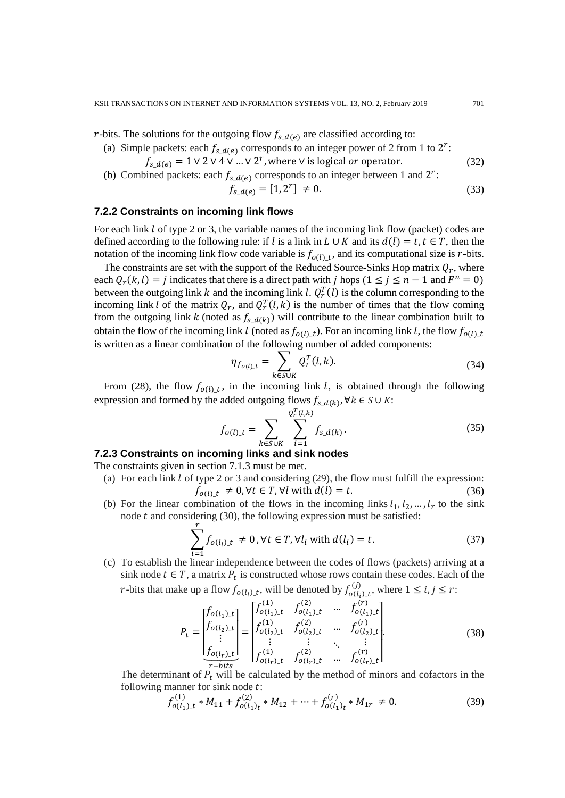r-bits. The solutions for the outgoing flow  $f_{s_d(e)}$  are classified according to:

- (a) Simple packets: each  $f_{s_d(e)}$  corresponds to an integer power of 2 from 1 to  $2^r$ :
	- $f_{s d(e)} = 1 \vee 2 \vee 4 \vee ... \vee 2^r$ , where  $\vee$  is logical *or* operator. (32)
- (b) Combined packets: each  $f_{s_d(e)}$  corresponds to an integer between 1 and  $2^r$ :

$$
f_{s\_d(e)} = [1, 2^r] \neq 0. \tag{33}
$$

## **7.2.2 Constraints on incoming link flows**

For each link  $l$  of type 2 or 3, the variable names of the incoming link flow (packet) codes are defined according to the following rule: if l is a link in  $L \cup K$  and its  $d(l) = t, t \in T$ , then the notation of the incoming link flow code variable is  $f_{o(l)}_t$ , and its computational size is r-bits.

The constraints are set with the support of the Reduced Source-Sinks Hop matrix  $Q_r$ , where each  $Q_r(k, l) = j$  indicates that there is a direct path with j hops  $(1 \le j \le n - 1$  and  $F^n = 0)$ between the outgoing link k and the incoming link l.  $Q_r^T(l)$  is the column corresponding to the incoming link l of the matrix  $Q_r$ , and  $Q_r^T(l, k)$  is the number of times that the flow coming from the outgoing link k (noted as  $f_{s_d(k)}$ ) will contribute to the linear combination built to obtain the flow of the incoming link l (noted as  $f_{o(l)_t}$ ). For an incoming link l, the flow  $f_{o(l)_t}$ is written as a linear combination of the following number of added components:

$$
\eta_{f_{o(l),t}} = \sum_{k \in \text{SUK}} Q_r^T(l,k). \tag{34}
$$

From (28), the flow  $f_{o(l)} t$ , in the incoming link l, is obtained through the following expression and formed by the added outgoing flows  $f_{s_d(k)}, \forall k \in S \cup K$ :

$$
f_{o(l)\_t} = \sum_{k \in \text{SUK}} \sum_{i=1}^{Q_t^T(l,k)} f_{s\_d(k)}.
$$
 (35)

## **7.2.3 Constraints on incoming links and sink nodes**

The constraints given in section 7.1.3 must be met.

- (a) For each link  $l$  of type 2 or 3 and considering (29), the flow must fulfill the expression:  $f_{o(l), t} \neq 0, \forall t \in T, \forall l \text{ with } d(l) = t.$  (36)
- (b) For the linear combination of the flows in the incoming links  $l_1, l_2, ..., l_r$  to the sink node  $t$  and considering (30), the following expression must be satisfied:

$$
\sum_{i=1}^{r} f_{o(l_i)_t} \neq 0, \forall t \in T, \forall l_i \text{ with } d(l_i) = t. \tag{37}
$$

(c) To establish the linear independence between the codes of flows (packets) arriving at a sink node  $t \in T$ , a matrix  $P_t$  is constructed whose rows contain these codes. Each of the *r*-bits that make up a flow  $f_{o(l_i)_t}$ , will be denoted by  $f_{o(l_i)_t}^{(J)}$ , where  $1 \le i, j \le r$ :

$$
P_{t} = \begin{bmatrix} f_{o(l_{1})_{-}t} \\ f_{o(l_{2})_{-}t} \\ \vdots \\ f_{o(l_{r})_{-}t} \end{bmatrix} = \begin{bmatrix} f_{o(l_{1})_{-}t}^{(1)} & f_{o(l_{1})_{-}t}^{(2)} & \cdots & f_{o(l_{1})_{-}t}^{(r)} \\ f_{o(l_{2})_{-}t}^{(1)} & f_{o(l_{2})_{-}t}^{(2)} & \cdots & f_{o(l_{2})_{-}t}^{(r)} \\ \vdots & \vdots & \ddots & \vdots \\ f_{o(l_{r})_{-}t}^{(1)} & f_{o(l_{r})_{-}t}^{(2)} & \cdots & f_{o(l_{r})_{-}t}^{(r)} \end{bmatrix} . \tag{38}
$$

The determinant of  $P_t$  will be calculated by the method of minors and cofactors in the following manner for sink node  $t$ :

$$
f_{o(l_1)_t}^{(1)} * M_{11} + f_{o(l_1)_t}^{(2)} * M_{12} + \dots + f_{o(l_1)_t}^{(r)} * M_{1r} \neq 0.
$$
 (39)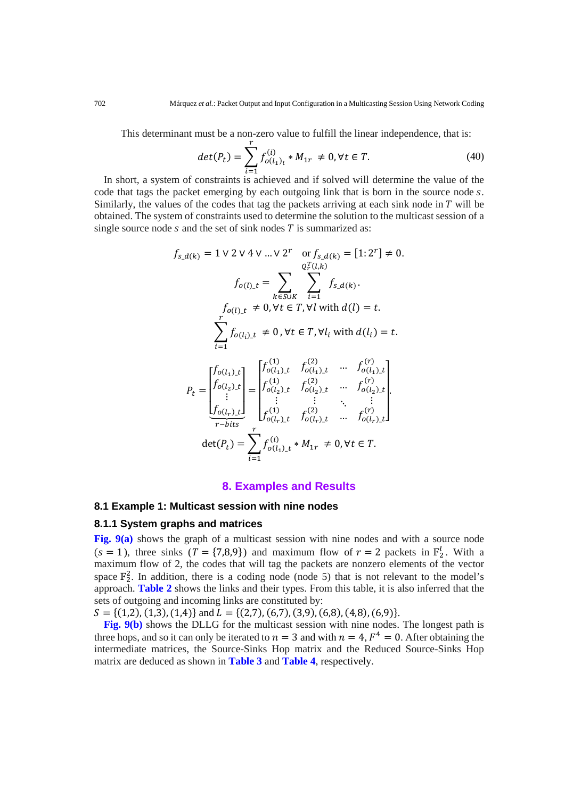This determinant must be a non-zero value to fulfill the linear independence, that is:

$$
det(P_t) = \sum_{i=1}^{r} f_{o(l_1)_t}^{(i)} * M_{1r} \neq 0, \forall t \in T.
$$
 (40)

In short, a system of constraints is achieved and if solved will determine the value of the code that tags the packet emerging by each outgoing link that is born in the source node s. Similarly, the values of the codes that tag the packets arriving at each sink node in  $T$  will be obtained. The system of constraints used to determine the solution to the multicast session of a single source node  $s$  and the set of sink nodes  $T$  is summarized as:

$$
f_{s_d(k)} = 1 \lor 2 \lor 4 \lor \dots \lor 2^r \quad \text{or} \quad f_{s_d(k)} = [1:2^r] \neq 0.
$$
\n
$$
f_{o(l)}_t = \sum_{k \in \text{SUE}} \sum_{i=1}^{Q_t^T(l,k)} f_{s_d(k)}.
$$
\n
$$
f_{o(l)}_t \neq 0, \forall t \in T, \forall l \text{ with } d(l) = t.
$$
\n
$$
\sum_{i=1}^r f_{o(l_i)_t} \neq 0, \forall t \in T, \forall l_i \text{ with } d(l_i) = t.
$$
\n
$$
P_t = \begin{bmatrix} f_{o(l_1)_t} & f_{o(l_1)_t} & f_{o(l_1)_t} & \dots & f_{o(l_1)_t} \\ f_{o(l_2)_t} & f_{o(l_2)_t} & f_{o(l_2)_t} & \dots & f_{o(l_2)_t} \\ \vdots & \vdots & \ddots & \vdots \\ f_{o(l_r)_t} & f_{o(l_r)_t}^{(1)} & f_{o(l_r)_t}^{(2)} & \dots & f_{o(l_r)_t}^{(r)} \end{bmatrix}.
$$

$$
\overline{r\text{-}bits} \quad D_{o(l_r)\_t} \quad D_{o(l_r)\_t} \quad \cdots \quad D_{o(l_r)}
$$
\n
$$
\det(P_t) = \sum_{i=1}^r f_{o(l_1)\_t}^{(i)} * M_{1r} \neq 0, \forall t \in T.
$$

## **8. Examples and Results**

## **8.1 Example 1: Multicast session with nine nodes**

## **8.1.1 System graphs and matrices**

**Fig. 9(a)** shows the graph of a multicast session with nine nodes and with a source node  $(s = 1)$ , three sinks  $(T = \{7,8,9\})$  and maximum flow of  $r = 2$  packets in  $\mathbb{F}_2^l$ . With a maximum flow of 2, the codes that will tag the packets are nonzero elements of the vector space  $\mathbb{F}_2^2$ . In addition, there is a coding node (node 5) that is not relevant to the model's approach. **Table 2** shows the links and their types. From this table, it is also inferred that the sets of outgoing and incoming links are constituted by:

 $S = \{(1,2), (1,3), (1,4)\}\$ and  $L = \{(2,7), (6,7), (3,9), (6,8), (4,8), (6,9)\}.$ 

**Fig. 9(b)** shows the DLLG for the multicast session with nine nodes. The longest path is three hops, and so it can only be iterated to  $n = 3$  and with  $n = 4$ ,  $F<sup>4</sup> = 0$ . After obtaining the intermediate matrices, the Source-Sinks Hop matrix and the Reduced Source-Sinks Hop matrix are deduced as shown in **Table 3** and **Table 4**, respectively.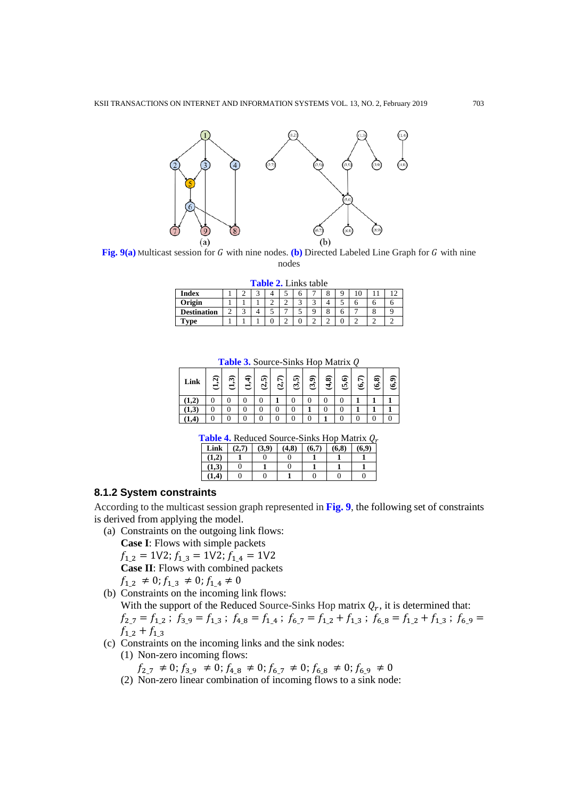

**Fig. 9(a)** Multicast session for G with nine nodes. **(b)** Directed Labeled Line Graph for G with nine nodes

**Table 2.** Links table

| Index              |        | -      | س |   | -<br>◡         | о      |   | o             |   | U |  |
|--------------------|--------|--------|---|---|----------------|--------|---|---------------|---|---|--|
| Origin             |        |        |   | - | $\sim$<br>∸    | ⌒<br>◡ | س |               | ◡ |   |  |
| <b>Destination</b> | $\sim$ | ⌒<br>◡ |   |   | $\overline{ }$ | ÷      |   | $\Omega$<br>o |   |   |  |
| m<br>vpe           |        |        |   |   | ∸              | v      |   | ∼             | U |   |  |

Table 3. Source-Sinks Hop Matrix Q

|           |         |                                    |         |                      |       |       |          |         |        | $\tilde{\phantom{a}}$ |       |        |
|-----------|---------|------------------------------------|---------|----------------------|-------|-------|----------|---------|--------|-----------------------|-------|--------|
| Link      | নি<br>ತ | $\widehat{\boldsymbol{\eta}}$<br>U | न्<br>ರ | ଜୁ<br>$\overline{a}$ | (2,7) | (3,5) | وفا<br>ಲ | ଛି<br>₹ | ୂ<br>ত | (6,7)                 | (6,8) | ெ<br>ی |
|           |         |                                    |         | 0                    |       |       | 0        | 0       |        |                       |       |        |
| 1,3       |         |                                    |         | 0                    |       |       |          | 0       |        |                       |       |        |
| $\cdot^4$ |         |                                    |         |                      |       |       |          |         |        |                       |       |        |

|  |  |  | <b>Table 4.</b> Reduced Source-Sinks Hop Matrix $Q_r$                                                                 |
|--|--|--|-----------------------------------------------------------------------------------------------------------------------|
|  |  |  | <u>la contra de la contra de la contra de la contra de la contra de la contra de la contra de la contra de la con</u> |

| Link  | (2.7) | (3.9) | (4,8) | (6.7) | (6.8) | (6.9) |
|-------|-------|-------|-------|-------|-------|-------|
| (1.2) |       |       |       |       |       |       |
| (1.3) |       |       |       |       |       |       |
| (1.4) |       |       |       |       |       |       |

# **8.1.2 System constraints**

According to the multicast session graph represented in **Fig. 9**, the following set of constraints is derived from applying the model.

(a) Constraints on the outgoing link flows:

**Case I**: Flows with simple packets

 $f_{1,2} = 1 \vee 2$ ;  $f_{1,3} = 1 \vee 2$ ;  $f_{1,4} = 1 \vee 2$ **Case II**: Flows with combined packets

 $f_{1,2} \neq 0; f_{1,3} \neq 0; f_{1,4} \neq 0$ (b) Constraints on the incoming link flows:

With the support of the Reduced Source-Sinks Hop matrix  $Q_r$ , it is determined that:  $f_{2,7} = f_{1,2}$ ;  $f_{3,9} = f_{1,3}$ ;  $f_{4,8} = f_{1,4}$ ;  $f_{6,7} = f_{1,2} + f_{1,3}$ ;  $f_{6,8} = f_{1,2} + f_{1,3}$ ;  $f_{6,9} =$  $f_{1,2} + f_{1,3}$ 

- (c) Constraints on the incoming links and the sink nodes:
	- (1) Non-zero incoming flows:

 $f_{2,7} \neq 0; f_{3,9} \neq 0; f_{4,8} \neq 0; f_{6,7} \neq 0; f_{6,8} \neq 0; f_{6,9} \neq 0$ 

(2) Non-zero linear combination of incoming flows to a sink node: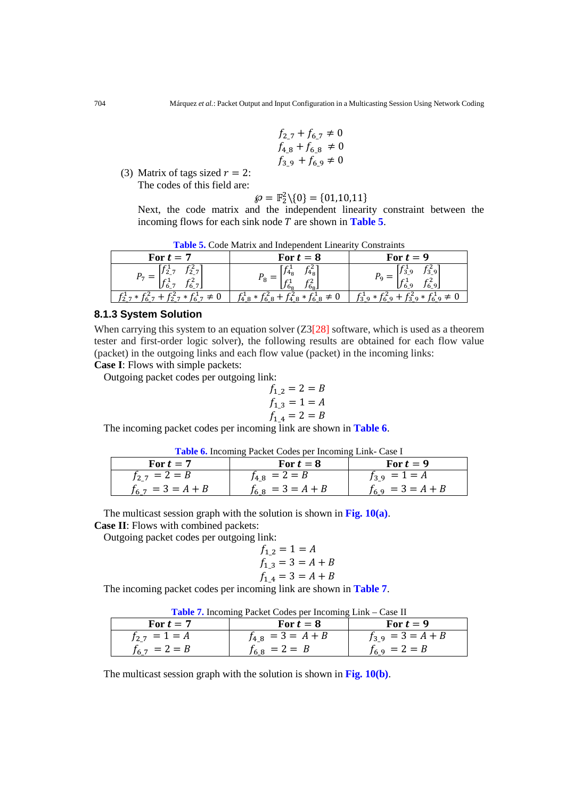$$
f_{2.7} + f_{6.7} \neq 0
$$
  

$$
f_{4.8} + f_{6.8} \neq 0
$$
  

$$
f_{3.9} + f_{6.9} \neq 0
$$

(3) Matrix of tags sized  $r = 2$ : The codes of this field are:

$$
\wp = \mathbb{F}_2^2 \setminus \{0\} = \{01, 10, 11\}
$$

Next, the code matrix and the independent linearity constraint between the incoming flows for each sink node  $T$  are shown in **Table 5**.

| For $t=7$                                                 | For $t=8$                                                | For $t=9$                                         |
|-----------------------------------------------------------|----------------------------------------------------------|---------------------------------------------------|
| f∻,<br>/2_7<br>гэ<br>16.7.<br>$U_{6,7}$<br>$\overline{ }$ | $f_{4_8}^2$<br>4 <sub>8</sub><br>$^{\prime}$ 6g.<br>/ Og | $f^1_{3\_9}$<br>$\mathbb{Z}$<br>$J_3_9$<br>LJ 6_9 |
| . *                                                       | $*$<br>49                                                |                                                   |

#### **8.1.3 System Solution**

When carrying this system to an equation solver  $(Z3[28]$  software, which is used as a theorem tester and first-order logic solver), the following results are obtained for each flow value (packet) in the outgoing links and each flow value (packet) in the incoming links:

**Case I**: Flows with simple packets: Outgoing packet codes per outgoing link:

$$
f_{1,2} = 2 = B
$$
  

$$
f_{1,3} = 1 = A
$$
  

$$
f_{1,4} = 2 = B
$$

The incoming packet codes per incoming link are shown in **Table 6**.

| Table 6. Incoming Packet Codes per Incoming Link- Case I |  |  |
|----------------------------------------------------------|--|--|
|                                                          |  |  |

| For $t=7$             | For $t=8$             | For $t=9$             |
|-----------------------|-----------------------|-----------------------|
| $f_{2,7} = 2 = B$     | $f_{4,8} = 2 = B$     | $f_3$ 9 = 1 = A       |
| $f_{6,7} = 3 = A + B$ | $f_{6,8}$ = 3 = A + B | $f_{6.9} = 3 = A + B$ |

The multicast session graph with the solution is shown in **Fig. 10(a)**.

**Case II**: Flows with combined packets:

Outgoing packet codes per outgoing link:

$$
f_{1,2} = 1 = A
$$
  

$$
f_{1,3} = 3 = A + B
$$
  

$$
f_{1,4} = 3 = A + B
$$

The incoming packet codes per incoming link are shown in **Table 7**.

|  |  |  |  | Table 7. Incoming Packet Codes per Incoming Link – Case II |  |  |
|--|--|--|--|------------------------------------------------------------|--|--|
|--|--|--|--|------------------------------------------------------------|--|--|

| For $t=7$         | For $t=8$             | For $t=9$           |
|-------------------|-----------------------|---------------------|
| $f_{2,7} = 1 = A$ | $f_{4,8} = 3 = A + B$ | $f_3$ 9 = 3 = A + B |
| $f_{6,7} = 2 = B$ | $f_{6.8} = 2 = B$     | $f_{6.9} = 2 = B$   |

The multicast session graph with the solution is shown in **Fig. 10(b)**.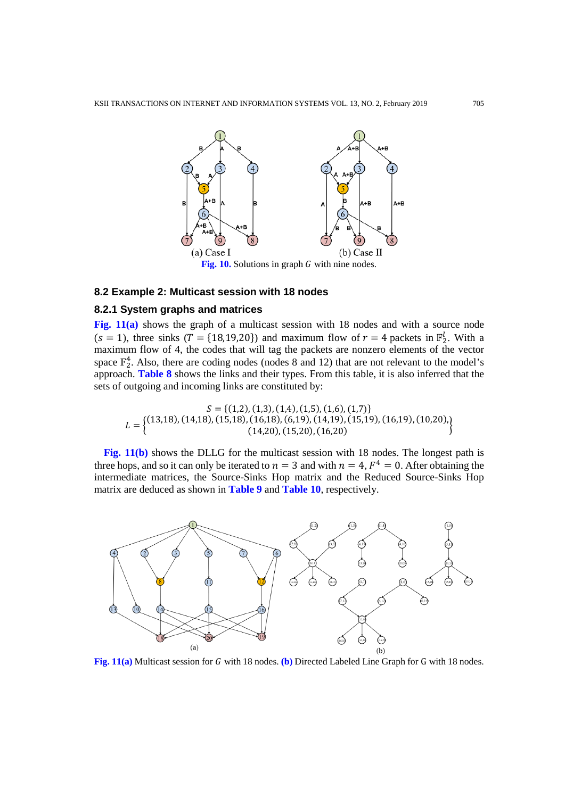

#### **8.2 Example 2: Multicast session with 18 nodes**

# **8.2.1 System graphs and matrices**

**Fig. 11(a)** shows the graph of a multicast session with 18 nodes and with a source node  $(s = 1)$ , three sinks  $(T = \{18,19,20\})$  and maximum flow of  $r = 4$  packets in  $\mathbb{F}_2^1$ . With a maximum flow of 4, the codes that will tag the packets are nonzero elements of the vector space  $\mathbb{F}_2^4$ . Also, there are coding nodes (nodes 8 and 12) that are not relevant to the model's approach. **Table 8** shows the links and their types. From this table, it is also inferred that the sets of outgoing and incoming links are constituted by:

 $S = \{(1,2), (1,3), (1,4), (1,5), (1,6), (1,7)\}$  $L = \left\{ \begin{matrix} (13,18), (14,18), (15,18), (16,19), (6,19), (14,19), (15,19), (16,19), (10,20), (14,20), (15,20), (16,20) \end{matrix} \right\}$ 

**Fig. 11(b)** shows the DLLG for the multicast session with 18 nodes. The longest path is three hops, and so it can only be iterated to  $n = 3$  and with  $n = 4$ ,  $F<sup>4</sup> = 0$ . After obtaining the intermediate matrices, the Source-Sinks Hop matrix and the Reduced Source-Sinks Hop matrix are deduced as shown in **Table 9** and **Table 10**, respectively.



Fig. 11(a) Multicast session for G with 18 nodes. (b) Directed Labeled Line Graph for G with 18 nodes.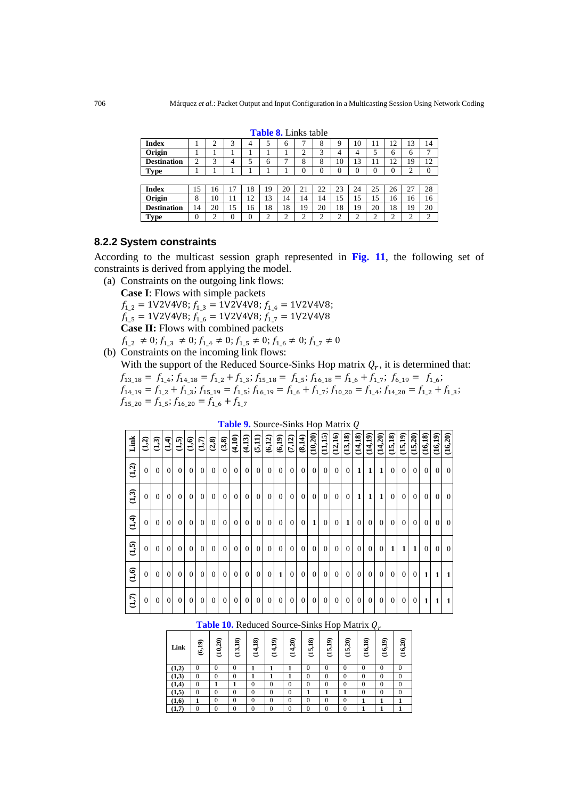| <b>Index</b>       |        | ∠      | 3  | 4  |        | 6      |    | 8      | 9              | 10     | . .    | 12     | 13            | 14       |
|--------------------|--------|--------|----|----|--------|--------|----|--------|----------------|--------|--------|--------|---------------|----------|
| Origin             |        |        |    |    |        |        | ∼  | 3      | 4              | 4      |        | 6      | 6             | ⇁        |
| <b>Destination</b> | ◠<br>∸ | 3      | 4  | 5  | 6      |        | 8  | 8      | 10             | 13     |        | 12     | 19            | 12       |
| <b>Type</b>        |        |        |    |    |        |        |    |        | $\overline{0}$ |        |        | 0      | ◠<br>↩        | $\Omega$ |
|                    |        |        |    |    |        |        |    |        |                |        |        |        |               |          |
| <b>Index</b>       | 5      | 16     | Ξ  | 18 | 19     | 20     | 21 | 22     | 23             | 24     | 25     | 26     | 27            | 28       |
| Origin             | 8      | 10     | 11 | 12 | 13     | 14     | 14 | 14     | 15             | 15     | 15     | 16     | 16            | 16       |
| <b>Destination</b> | 14     | 20     | 15 | 16 | 18     | 18     | 19 | 20     | 18             | 19     | 20     | 18     | 19            | 20       |
| <b>Type</b>        | 0      | ◠<br>↩ | 0  | 0  | ∍<br>∸ | ◠<br>∼ |    | ◠<br>∼ | ◠<br>∸         | ◠<br>↩ | ◠<br>∸ | ◠<br>∼ | $\Omega$<br>∸ | ◠        |

**Table 8.** Links table

## **8.2.2 System constraints**

According to the multicast session graph represented in **Fig. 11**, the following set of constraints is derived from applying the model.

(a) Constraints on the outgoing link flows: **Case I**: Flows with simple packets **Case II:** Flows with combined packets  $f_{1,2} = 1\sqrt{2} \sqrt{4} \sqrt{8}$ ;  $f_{1,3} = 1\sqrt{2} \sqrt{4} \sqrt{8}$ ;  $f_{1,4} = 1\sqrt{2} \sqrt{4} \sqrt{8}$ ;  $f_{1,5} = 1\sqrt{2} \sqrt{4} \sqrt{8}; f_{1,6} = 1\sqrt{2} \sqrt{4} \sqrt{8}; f_{1,7} = 1\sqrt{2} \sqrt{4} \sqrt{8}$  $f_{1,2} \neq 0$ ;  $f_{1,3} \neq 0$ ;  $f_{1,4} \neq 0$ ;  $f_{1,5} \neq 0$ ;  $f_{1,6} \neq 0$ ;  $f_{1,7} \neq 0$ 

(b) Constraints on the incoming link flows:

**Link**

With the support of the Reduced Source-Sinks Hop matrix  $Q_r$ , it is determined that:  $f_{13\_18} = f_{1\_4}$ ;  $f_{14\_18} = f_{1\_2} + f_{1\_3}$ ;  $f_{15\_18} = f_{1\_5}$ ;  $f_{16\_18} = f_{1\_6} + f_{1\_7}$ ;  $f_{6\_19} = f_{1\_6}$ ;  $f_{14\_19} = f_{1\_2} + f_{1\_3}$ ;  $f_{15\_19} = f_{1\_5}$ ;  $f_{16\_19} = f_{1\_6} + f_{1\_7}$ ;  $f_{10\_20} = f_{1\_4}$ ;  $f_{14\_20} = f_{1\_2} + f_{1\_3}$ ;  $f_{15_20} = f_{1_5}; f_{16_20} = f_{1_6} + f_{1_7}$ 

|                  |                |                |              |                 |                 |                |                |                |                | <b>Table 9.</b> Source-Slinks Hop Matrix Q |                |                    |                |                |                |                |                |                |                |                |                |              |                |                |                |              |              |                |
|------------------|----------------|----------------|--------------|-----------------|-----------------|----------------|----------------|----------------|----------------|--------------------------------------------|----------------|--------------------|----------------|----------------|----------------|----------------|----------------|----------------|----------------|----------------|----------------|--------------|----------------|----------------|----------------|--------------|--------------|----------------|
| Link             | $\overline{2}$ | $\widehat{d}$  | र्<br>न      | $\overline{15}$ | $\widetilde{a}$ | (1,7)          | (2, 8)         | (3,8)          | (4,10)         | (4,13)                                     | (5,11)         | $\frac{(6,12)}{2}$ | (6,19)         | (7,12)         | (8,14)         | (10,20)        | (11,15)        | (12,16)        | (13, 18)       | (14, 18)       | (14,19)        | (14,20)      | (15,18)        | (15,19)        | (15,20)        | (16,18)      | (16,19)      | (16,20)        |
| (1,2)            | $\Omega$       | $\Omega$       | $\Omega$     | $\Omega$        | $\overline{0}$  | $\Omega$       | $\overline{0}$ | $\overline{0}$ | $\overline{0}$ | $\overline{0}$                             | $\overline{0}$ | $\overline{0}$     | $\overline{0}$ | $\overline{0}$ | $\mathbf{0}$   | $\overline{0}$ | $\overline{0}$ | $\overline{0}$ | $\overline{0}$ | $\mathbf{1}$   | 1 <sup>1</sup> | $\mathbf{1}$ | $\overline{0}$ | $\overline{0}$ | $\overline{0}$ | $\Omega$     | $\Omega$     | $\overline{0}$ |
| (1,3)            | $\Omega$       | $\Omega$       | $\mathbf{0}$ | $\Omega$        | $\Omega$        | $\overline{0}$ | $\theta$       | $\overline{0}$ | $\overline{0}$ | $\overline{0}$                             | $\overline{0}$ | $\overline{0}$     | $\overline{0}$ | $\overline{0}$ | $\mathbf{0}$   | $\overline{0}$ | $\overline{0}$ | $\overline{0}$ | $\overline{0}$ | $\mathbf{1}$   | 1 <sup>1</sup> | $\mathbf{1}$ | $\overline{0}$ | $\overline{0}$ | $\overline{0}$ | $\mathbf{0}$ | $\Omega$     | $\overline{0}$ |
| $\overline{1,4}$ | $\Omega$       | $\overline{0}$ | $\Omega$     | $\Omega$        | $\Omega$        | $\overline{0}$ | $\theta$       | $\overline{0}$ | $\overline{0}$ | $\overline{0}$                             | $\overline{0}$ | $\overline{0}$     | $\overline{0}$ | $\overline{0}$ | $\mathbf{0}$   | 1              | $\overline{0}$ | $\overline{0}$ | $\mathbf{1}$   | $\overline{0}$ | $\overline{0}$ | $\Omega$     | $\overline{0}$ | $\overline{0}$ | $\overline{0}$ | $\Omega$     | $\Omega$     | $\overline{0}$ |
| $\overline{a}$   | $\Omega$       | $\Omega$       | $\Omega$     | $\Omega$        | $\Omega$        | $\Omega$       | $\theta$       | $\Omega$       | $\overline{0}$ | $\overline{0}$                             | $\overline{0}$ | $\overline{0}$     | $\overline{0}$ | $\overline{0}$ | $\mathbf{0}$   | $\overline{0}$ | $\overline{0}$ | $\mathbf{0}$   | $\overline{0}$ | $\overline{0}$ | $\overline{0}$ | $\Omega$     | 1              | 1              | $\mathbf{1}$   | $\Omega$     | $\Omega$     | $\overline{0}$ |
| $\overline{a}$   | $\Omega$       | $\Omega$       | $\Omega$     | $\Omega$        | $\overline{0}$  | $\overline{0}$ | $\theta$       | $\overline{0}$ | $\overline{0}$ | $\overline{0}$                             | $\theta$       | $\overline{0}$     | $\mathbf{1}$   | $\overline{0}$ | $\overline{0}$ | $\overline{0}$ | $\overline{0}$ | $\mathbf{0}$   | $\overline{0}$ | $\overline{0}$ | $\overline{0}$ | $\Omega$     | $\Omega$       | $\overline{0}$ | $\Omega$       | $\mathbf{1}$ | $\mathbf{1}$ | $\mathbf{1}$   |
| (1,7)            | $\Omega$       | $\Omega$       | $\theta$     | $\mathbf{0}$    | $\Omega$        | $\Omega$       | $\overline{0}$ | $\overline{0}$ | $\overline{0}$ | $\overline{0}$                             | $\overline{0}$ | $\overline{0}$     | $\overline{0}$ | $\overline{0}$ | $\overline{0}$ | $\overline{0}$ | $\overline{0}$ | $\overline{0}$ | $\overline{0}$ | $\overline{0}$ | $\overline{0}$ | $\Omega$     | $\Omega$       | $\overline{0}$ | $\overline{0}$ | 1            | $\mathbf{1}$ | 1              |

**Table 9.** Source-Sinks Hop Matrix

| Link  | ெ<br>$\overline{61}$ | ≏<br>∍<br>$\mathbf \Omega$<br>੩ | ଛ<br>$\Xi$<br>ਦ | ౚ<br>ℸ<br>4<br>ਦ | ெ<br>┓<br>∪ | ≏<br>∽<br>↽<br>ਦ | ౚ<br>∹<br>ιń<br>ರ | 5,19<br>ਦ | ≏<br>∍<br>m<br>ਦ | ଛ<br>-<br>ی<br>ਦ | ெ<br>⊣<br>ی<br>ರ | $\widehat{a}$<br>ě |
|-------|----------------------|---------------------------------|-----------------|------------------|-------------|------------------|-------------------|-----------|------------------|------------------|------------------|--------------------|
| (1,2) |                      |                                 |                 |                  |             |                  |                   |           |                  |                  |                  |                    |
| (1,3) |                      |                                 |                 |                  |             |                  |                   |           |                  |                  |                  |                    |
| (1,4) |                      |                                 |                 |                  |             |                  |                   |           |                  |                  |                  |                    |

**(1,5)** 0 0 0 0 0 0 **1 1 1** 0 0 0 **(1,6) 1** 0 0 0 0 0 0 0 0 **1 1 1 (1,7)** 0 0 0 0 0 0 0 0 0 **1 1 1**

**Table 10.** Reduced Source-Sinks Hop Matrix  $Q_r$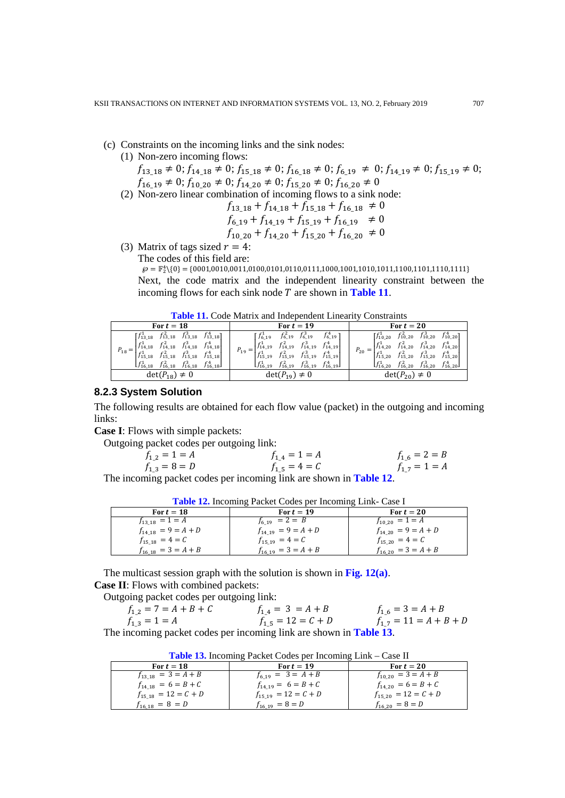- (c) Constraints on the incoming links and the sink nodes:
	- (1) Non-zero incoming flows:

 $f_{13\_18} \neq 0; f_{14\_18} \neq 0; f_{15\_18} \neq 0; f_{16\_18} \neq 0; f_{6\_19} \neq 0; f_{14\_19} \neq 0; f_{15\_19} \neq 0;$  $f_{16\_19} \neq 0; f_{10\_20} \neq 0; f_{14\_20} \neq 0; f_{15\_20} \neq 0; f_{16\_20} \neq 0$ (2) Non-zero linear combination of incoming flows to a sink node:

$$
f_{13\_18} + f_{14\_18} + f_{15\_18} + f_{16\_18} \neq 0
$$
  

$$
f_{6\_19} + f_{14\_19} + f_{15\_19} + f_{16\_19} \neq 0
$$
  

$$
f_{10\_20} + f_{14\_20} + f_{15\_20} + f_{16\_20} \neq 0
$$

(3) Matrix of tags sized  $r = 4$ :

The codes of this field are:

 $\wp = \mathbb{F}_2^4 \backslash \{0\} = \{0001, 0010, 0011, 0100, 0101, 0110, 0111, 1000, 1001, 1010, 1011, 1100, 1101, 1111\}$ Next, the code matrix and the independent linearity constraint between the incoming flows for each sink node  $T$  are shown in **Table 11**.

|  |  | <b>Table 11.</b> Code Matrix and Independent Linearity Constraints |  |  |
|--|--|--------------------------------------------------------------------|--|--|
|--|--|--------------------------------------------------------------------|--|--|

| For $t=18$                                                                                                                                                                                                                                                                                                                                                                                   | For $t = 19$                                                                                                                                                                                                                                                                                                                                                     | For $t=20$                                                                                                                                                                                                                                                                                                                                         |  |  |  |  |
|----------------------------------------------------------------------------------------------------------------------------------------------------------------------------------------------------------------------------------------------------------------------------------------------------------------------------------------------------------------------------------------------|------------------------------------------------------------------------------------------------------------------------------------------------------------------------------------------------------------------------------------------------------------------------------------------------------------------------------------------------------------------|----------------------------------------------------------------------------------------------------------------------------------------------------------------------------------------------------------------------------------------------------------------------------------------------------------------------------------------------------|--|--|--|--|
| $\begin{bmatrix} f_{13,18}^1 & f_{13,18}^2 & f_{13,18}^3 & f_{13,18}^4 \end{bmatrix}$<br>$\begin{vmatrix} f_{14_{-}18}^1 & f_{14_{-}18}^2 & f_{14_{-}18}^3 & f_{14_{-}18}^4 \end{vmatrix}$<br>$P_{18} = 1$<br>$\begin{bmatrix} f_{15,18}^1 & f_{15,18}^2 & f_{15,18}^3 & f_{15,18}^4 \end{bmatrix}$<br>$\begin{bmatrix} f_{16,18}^1 & f_{16,18}^2 & f_{16,18}^3 & f_{16,18}^4 \end{bmatrix}$ | $\begin{bmatrix} f_{6,19}^1 & f_{6,19}^2 & f_{6,19}^3 \end{bmatrix}$<br>$f_{6\_19}^{4}$ ]<br>$\begin{vmatrix} f_{14}^1 & 19 & f_{14}^2 & 19 & f_{14}^3 & 19 & f_{14}^4 & 19 \end{vmatrix}$<br>$P_{19} =$<br>$f_{15\_19}^1$ $f_{15\_19}^2$ $f_{15\_19}^3$ $f_{15\_19}^4$<br>$\begin{bmatrix} f_{16,19}^1 & f_{16,19}^2 & f_{16,19}^3 & f_{16,19}^4 \end{bmatrix}$ | $\begin{bmatrix} f_{10,20}^1 & f_{10,20}^2 & f_{10,20}^3 & f_{10,20}^4 \end{bmatrix}$<br>$\begin{bmatrix} f_{14,20}^1 & f_{14,20}^2 & f_{14,20}^3 & f_{14,20}^4 \end{bmatrix}$<br>$P_{20} =  $<br>$f_{15,20}^1$ $f_{15,20}^2$ $f_{15,20}^3$ $f_{15,20}^4$<br>$\begin{bmatrix} f_{16,20}^1 & f_{16,20}^2 & f_{16,20}^3 & f_{16,20}^4 \end{bmatrix}$ |  |  |  |  |
| $det(P_{18}) \neq 0$                                                                                                                                                                                                                                                                                                                                                                         | $det(P_{19}) \neq 0$                                                                                                                                                                                                                                                                                                                                             | $det(P_{20}) \neq 0$                                                                                                                                                                                                                                                                                                                               |  |  |  |  |

# **8.2.3 System Solution**

The following results are obtained for each flow value (packet) in the outgoing and incoming links:

**Case I**: Flows with simple packets:

Outgoing packet codes per outgoing link:

$$
f_{1,2} = 1 = A
$$
  
\n
$$
f_{1,3} = 8 = D
$$
  
\n
$$
f_{1,4} = 1 = A
$$
  
\n
$$
f_{1,5} = 4 = C
$$
  
\n
$$
f_{1,6} = 2 = B
$$
  
\n
$$
f_{1,7} = 1 = A
$$

The incoming packet codes per incoming link are shown in **Table 12**.

| For $t = 18$            | For $t=19$               | For $t=20$              |
|-------------------------|--------------------------|-------------------------|
| $f_{13,18} = 1 = A$     | $f_{6,19}$ = 2 = B       | $f_{10,20} = 1 = A$     |
| $f_{14,18} = 9 = A + D$ | $f_{14,19} = 9 = A + D$  | $f_{14,20} = 9 = A + D$ |
| $f_{15,18} = 4 = C$     | $f_{15,19} = 4 = C$      | $f_{15,20} = 4 = C$     |
| $t_{16,18} = 3 = A + B$ | $f_{16\_19} = 3 = A + B$ | $f_{16,20} = 3 = A + B$ |

The multicast session graph with the solution is shown in **Fig. 12(a)**. **Case II**: Flows with combined packets:

Outgoing packet codes per outgoing link:

| $f_{1,2} = 7 = A + B + C$ | $f_{1,4} = 3 = A + B$  | $f_{1,6} = 3 = A + B$      |
|---------------------------|------------------------|----------------------------|
| $f_{1,3} = 1 = A$         | $f_{1,5} = 12 = C + D$ | $f_{1,7} = 11 = A + B + D$ |
|                           |                        |                            |

The incoming packet codes per incoming link are shown in **Table 13**.

**Table 13.** Incoming Packet Codes per Incoming Link – Case II

| For $t=18$               | For $t=19$               | For $t=20$               |
|--------------------------|--------------------------|--------------------------|
| $f_{13,18} = 3 = A + B$  | $f_{6,19} = 3 = A + B$   | $f_{10,20} = 3 = A + B$  |
| $f_{14,18} = 6 = B + C$  | $f_{14,19} = 6 = B + C$  | $f_{14,20} = 6 = B + C$  |
| $f_{15-18} = 12 = C + D$ | $f_{15,19} = 12 = C + D$ | $f_{15,20} = 12 = C + D$ |
| $f_{16\;18} = 8 = D$     | $f_{16,19} = 8 = D$      | $f_{16,20} = 8 = D$      |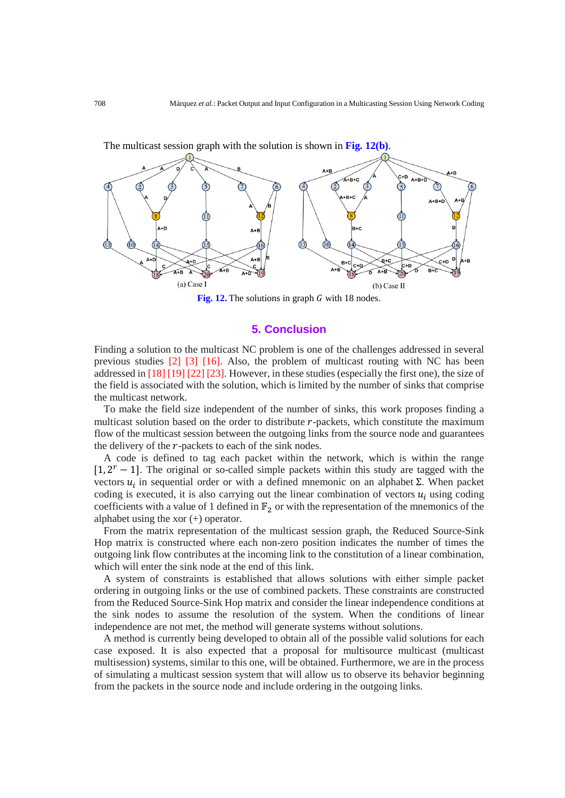

**Fig. 12.** The solutions in graph  $G$  with 18 nodes.

# **5. Conclusion**

Finding a solution to the multicast NC problem is one of the challenges addressed in several previous studies [2] [3] [16]. Also, the problem of multicast routing with NC has been addressed in [18] [19] [22] [23]. However, in these studies (especially the first one), the size of the field is associated with the solution, which is limited by the number of sinks that comprise the multicast network.

To make the field size independent of the number of sinks, this work proposes finding a multicast solution based on the order to distribute  $r$ -packets, which constitute the maximum flow of the multicast session between the outgoing links from the source node and guarantees the delivery of the  $r$ -packets to each of the sink nodes.

A code is defined to tag each packet within the network, which is within the range  $[1, 2<sup>r</sup> - 1]$ . The original or so-called simple packets within this study are tagged with the vectors  $u_i$  in sequential order or with a defined mnemonic on an alphabet Σ. When packet coding is executed, it is also carrying out the linear combination of vectors  $u_i$  using coding coefficients with a value of 1 defined in  $\mathbb{F}_2$  or with the representation of the mnemonics of the alphabet using the xor (+) operator.

From the matrix representation of the multicast session graph, the Reduced Source-Sink Hop matrix is constructed where each non-zero position indicates the number of times the outgoing link flow contributes at the incoming link to the constitution of a linear combination, which will enter the sink node at the end of this link.

A system of constraints is established that allows solutions with either simple packet ordering in outgoing links or the use of combined packets. These constraints are constructed from the Reduced Source-Sink Hop matrix and consider the linear independence conditions at the sink nodes to assume the resolution of the system. When the conditions of linear independence are not met, the method will generate systems without solutions.

A method is currently being developed to obtain all of the possible valid solutions for each case exposed. It is also expected that a proposal for multisource multicast (multicast multisession) systems, similar to this one, will be obtained. Furthermore, we are in the process of simulating a multicast session system that will allow us to observe its behavior beginning from the packets in the source node and include ordering in the outgoing links.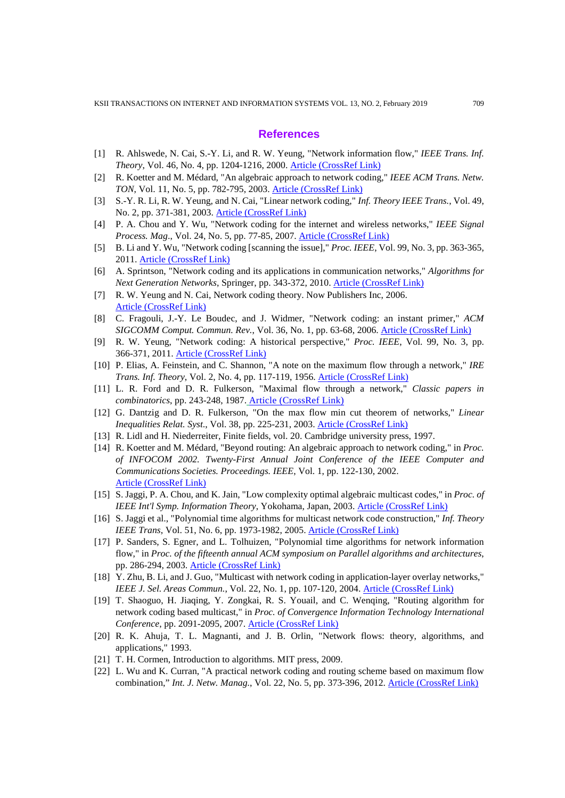# **References**

- [1] R. Ahlswede, N. Cai, S.-Y. Li, and R. W. Yeung, "Network information flow," *IEEE Trans. Inf. Theory*, Vol. 46, No. 4, pp. 1204-1216, 2000. [Article \(CrossRef Link\)](https://doi.org/10.1109/18.850663)
- [2] R. Koetter and M. Médard, "An algebraic approach to network coding," *IEEE ACM Trans. Netw. TON*, Vol. 11, No. 5, pp. 782-795, 2003. [Article \(CrossRef Link\)](https://doi.org/10.1109/TNET.2003.818197)
- [3] S.-Y. R. Li, R. W. Yeung, and N. Cai, "Linear network coding," *Inf. Theory IEEE Trans.*, Vol. 49, No. 2, pp. 371-381, 2003[. Article \(CrossRef Link\)](https://doi.org/10.1109/TIT.2002.807285)
- [4] P. A. Chou and Y. Wu, "Network coding for the internet and wireless networks," *IEEE Signal Process. Mag*., Vol. 24, No. 5, pp. 77-85, 2007. [Article \(CrossRef Link\)](https://doi.org/10.1109/MSP.2007.904818)
- [5] B. Li and Y. Wu, "Network coding [scanning the issue]," *Proc. IEEE*, Vol. 99, No. 3, pp. 363-365, 2011. [Article \(CrossRef Link\)](https://doi.org/10.1109/JPROC.2010.2096251)
- [6] A. Sprintson, "Network coding and its applications in communication networks," *Algorithms for Next Generation Networks*, Springer, pp. 343-372, 2010[. Article \(CrossRef Link\)](https://doi.org/10.1007/978-1-84882-765-3_15)
- [7] R. W. Yeung and N. Cai, Network coding theory. Now Publishers Inc, 2006. [Article \(CrossRef Link\)](https://doi.org/10.1561/0100000007)
- [8] C. Fragouli, J.-Y. Le Boudec, and J. Widmer, "Network coding: an instant primer," *ACM SIGCOMM Comput. Commun. Rev.*, Vol. 36, No. 1, pp. 63-68, 2006[. Article \(CrossRef Link\)](https://doi.org/10.1145/1111322.1111337)
- [9] R. W. Yeung, "Network coding: A historical perspective," *Proc. IEEE*, Vol. 99, No. 3, pp. 366-371, 2011. [Article \(CrossRef Link\)](https://doi.org/10.1109/JPROC.2010.2094591)
- [10] P. Elias, A. Feinstein, and C. Shannon, "A note on the maximum flow through a network," *IRE Trans. Inf. Theory*, Vol. 2, No. 4, pp. 117-119, 1956. [Article \(CrossRef Link\)](https://doi.org/10.1109/TIT.1956.1056816)
- [11] L. R. Ford and D. R. Fulkerson, "Maximal flow through a network," *Classic papers in combinatorics*, pp. 243-248, 1987. [Article \(CrossRef Link\)](https://doi.org/10.1007/978-0-8176-4842-8_15)
- [12] G. Dantzig and D. R. Fulkerson, "On the max flow min cut theorem of networks," *Linear Inequalities Relat. Syst*., Vol. 38, pp. 225-231, 2003[. Article \(CrossRef Link\)](https://doi.org/10.1016/j.jctb.2010.08.002)
- [13] R. Lidl and H. Niederreiter, Finite fields, vol. 20. Cambridge university press, 1997.
- [14] R. Koetter and M. Médard, "Beyond routing: An algebraic approach to network coding," in *Proc. of INFOCOM 2002. Twenty-First Annual Joint Conference of the IEEE Computer and Communications Societies. Proceedings. IEEE*, Vol. 1, pp. 122-130, 2002. Article (CrossRef Link)
- [15] S. Jaggi, P. A. Chou, and K. Jain, "Low complexity optimal algebraic multicast codes," in *Proc. of IEEE Int'l Symp. Information Theory*, Yokohama, Japan, 2003. Article (CrossRef Link)
- [16] S. Jaggi et al., "Polynomial time algorithms for multicast network code construction," *Inf. Theory IEEE Trans*, Vol. 51, No. 6, pp. 1973-1982, 2005. **[Article \(CrossRef Link\)](https://doi.org/10.1109/TIT.2005.847712)**
- [17] P. Sanders, S. Egner, and L. Tolhuizen, "Polynomial time algorithms for network information flow," in *Proc. of the fifteenth annual ACM symposium on Parallel algorithms and architectures*, pp. 286-294, 2003. [Article \(CrossRef Link\)](https://doi.org/10.1145/777412.777464)
- [18] Y. Zhu, B. Li, and J. Guo, "Multicast with network coding in application-layer overlay networks," *IEEE J. Sel. Areas Commun.*, Vol. 22, No. 1, pp. 107-120, 2004. [Article \(CrossRef Link\)](https://doi.org/10.1109/JSAC.2003.818801)
- [19] T. Shaoguo, H. Jiaqing, Y. Zongkai, R. S. Youail, and C. Wenqing, "Routing algorithm for network coding based multicast," in *Proc. of Convergence Information Technology International Conference*, pp. 2091-2095, 2007. [Article \(CrossRef Link\)](https://doi.org/10.1109/ICCIT.2007.213)
- [20] R. K. Ahuja, T. L. Magnanti, and J. B. Orlin, "Network flows: theory, algorithms, and applications," 1993.
- [21] T. H. Cormen, Introduction to algorithms. MIT press, 2009.
- [22] L. Wu and K. Curran, "A practical network coding and routing scheme based on maximum flow combination," *Int. J. Netw. Manag.*, Vol. 22, No. 5, pp. 373-396, 2012. [Article \(CrossRef Link\)](https://doi.org/10.1002/nem.1797)